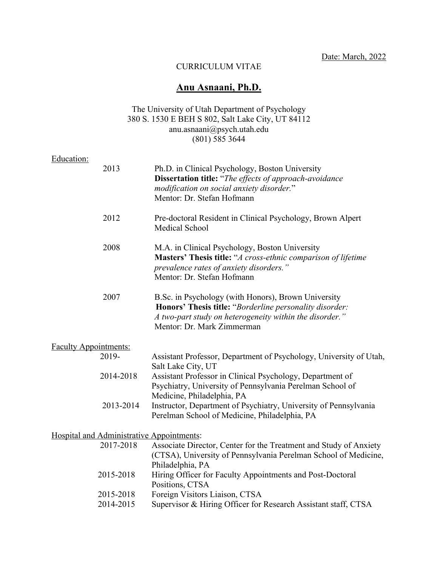Date: March, 2022

## CURRICULUM VITAE

# **Anu Asnaani, Ph.D.**

### The University of Utah Department of Psychology 380 S. 1530 E BEH S 802, Salt Lake City, UT 84112 anu.asnaani@psych.utah.edu  $(801)$  585 3644

# Education:

|                                           | 2013      | Ph.D. in Clinical Psychology, Boston University<br><b>Dissertation title:</b> "The effects of approach-avoidance<br>modification on social anxiety disorder."<br>Mentor: Dr. Stefan Hofmann             |
|-------------------------------------------|-----------|---------------------------------------------------------------------------------------------------------------------------------------------------------------------------------------------------------|
|                                           | 2012      | Pre-doctoral Resident in Clinical Psychology, Brown Alpert<br>Medical School                                                                                                                            |
|                                           | 2008      | M.A. in Clinical Psychology, Boston University<br>Masters' Thesis title: "A cross-ethnic comparison of lifetime<br>prevalence rates of anxiety disorders."<br>Mentor: Dr. Stefan Hofmann                |
|                                           | 2007      | B.Sc. in Psychology (with Honors), Brown University<br>Honors' Thesis title: "Borderline personality disorder:<br>A two-part study on heterogeneity within the disorder."<br>Mentor: Dr. Mark Zimmerman |
| <b>Faculty Appointments:</b>              |           |                                                                                                                                                                                                         |
| 2019-                                     |           | Assistant Professor, Department of Psychology, University of Utah,<br>Salt Lake City, UT                                                                                                                |
|                                           | 2014-2018 | Assistant Professor in Clinical Psychology, Department of<br>Psychiatry, University of Pennsylvania Perelman School of<br>Medicine, Philadelphia, PA                                                    |
|                                           | 2013-2014 | Instructor, Department of Psychiatry, University of Pennsylvania<br>Perelman School of Medicine, Philadelphia, PA                                                                                       |
| Hospital and Administrative Appointments: |           |                                                                                                                                                                                                         |
|                                           | 2017-2018 | Associate Director, Center for the Treatment and Study of Anxiety<br>(CTSA), University of Pennsylvania Perelman School of Medicine,<br>Philadelphia, PA                                                |
|                                           | 2015-2018 | Hiring Officer for Faculty Appointments and Post-Doctoral<br>Positions, CTSA                                                                                                                            |
|                                           | 2015-2018 | Foreign Visitors Liaison, CTSA                                                                                                                                                                          |
|                                           | 2014-2015 | Supervisor & Hiring Officer for Research Assistant staff, CTSA                                                                                                                                          |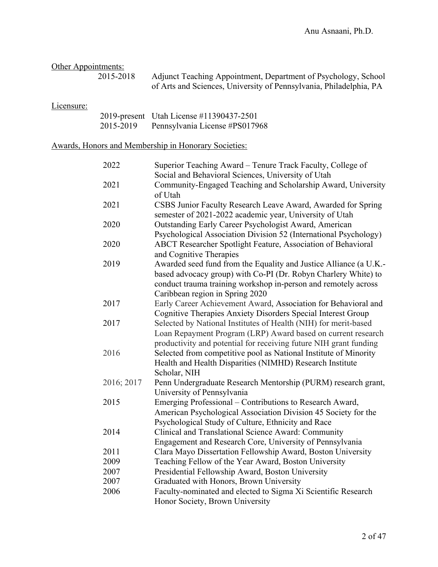| Other Appointments: |  |
|---------------------|--|
|                     |  |

 2015-2018 Adjunct Teaching Appointment, Department of Psychology, School of Arts and Sciences, University of Pennsylvania, Philadelphia, PA

## Licensure:

|           | 2019-present Utah License #11390437-2501 |
|-----------|------------------------------------------|
| 2015-2019 | Pennsylvania License #PS017968           |

# Awards, Honors and Membership in Honorary Societies:

| 2022       | Superior Teaching Award - Tenure Track Faculty, College of<br>Social and Behavioral Sciences, University of Utah                                                                                                                         |
|------------|------------------------------------------------------------------------------------------------------------------------------------------------------------------------------------------------------------------------------------------|
| 2021       | Community-Engaged Teaching and Scholarship Award, University<br>of Utah                                                                                                                                                                  |
| 2021       | CSBS Junior Faculty Research Leave Award, Awarded for Spring<br>semester of 2021-2022 academic year, University of Utah                                                                                                                  |
| 2020       | Outstanding Early Career Psychologist Award, American<br>Psychological Association Division 52 (International Psychology)                                                                                                                |
| 2020       | ABCT Researcher Spotlight Feature, Association of Behavioral<br>and Cognitive Therapies                                                                                                                                                  |
| 2019       | Awarded seed fund from the Equality and Justice Alliance (a U.K.-<br>based advocacy group) with Co-PI (Dr. Robyn Charlery White) to<br>conduct trauma training workshop in-person and remotely across<br>Caribbean region in Spring 2020 |
| 2017       | Early Career Achievement Award, Association for Behavioral and<br>Cognitive Therapies Anxiety Disorders Special Interest Group                                                                                                           |
| 2017       | Selected by National Institutes of Health (NIH) for merit-based<br>Loan Repayment Program (LRP) Award based on current research<br>productivity and potential for receiving future NIH grant funding                                     |
| 2016       | Selected from competitive pool as National Institute of Minority<br>Health and Health Disparities (NIMHD) Research Institute<br>Scholar, NIH                                                                                             |
| 2016; 2017 | Penn Undergraduate Research Mentorship (PURM) research grant,<br>University of Pennsylvania                                                                                                                                              |
| 2015       | Emerging Professional – Contributions to Research Award,<br>American Psychological Association Division 45 Society for the<br>Psychological Study of Culture, Ethnicity and Race                                                         |
| 2014       | Clinical and Translational Science Award: Community<br>Engagement and Research Core, University of Pennsylvania                                                                                                                          |
| 2011       | Clara Mayo Dissertation Fellowship Award, Boston University                                                                                                                                                                              |
| 2009       | Teaching Fellow of the Year Award, Boston University                                                                                                                                                                                     |
| 2007       | Presidential Fellowship Award, Boston University                                                                                                                                                                                         |
| 2007       | Graduated with Honors, Brown University                                                                                                                                                                                                  |
| 2006       | Faculty-nominated and elected to Sigma Xi Scientific Research<br>Honor Society, Brown University                                                                                                                                         |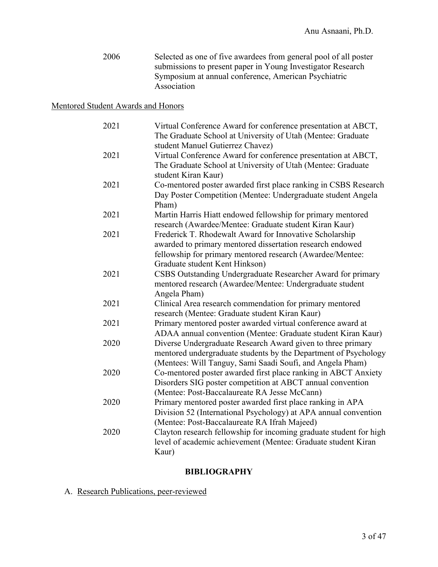2006 Selected as one of five awardees from general pool of all poster submissions to present paper in Young Investigator Research Symposium at annual conference, American Psychiatric Association

## Mentored Student Awards and Honors

| 2021 | Virtual Conference Award for conference presentation at ABCT,<br>The Graduate School at University of Utah (Mentee: Graduate<br>student Manuel Gutierrez Chavez)                                                    |
|------|---------------------------------------------------------------------------------------------------------------------------------------------------------------------------------------------------------------------|
| 2021 | Virtual Conference Award for conference presentation at ABCT,<br>The Graduate School at University of Utah (Mentee: Graduate<br>student Kiran Kaur)                                                                 |
| 2021 | Co-mentored poster awarded first place ranking in CSBS Research<br>Day Poster Competition (Mentee: Undergraduate student Angela<br>Pham)                                                                            |
| 2021 | Martin Harris Hiatt endowed fellowship for primary mentored<br>research (Awardee/Mentee: Graduate student Kiran Kaur)                                                                                               |
| 2021 | Frederick T. Rhodewalt Award for Innovative Scholarship<br>awarded to primary mentored dissertation research endowed<br>fellowship for primary mentored research (Awardee/Mentee:<br>Graduate student Kent Hinkson) |
| 2021 | CSBS Outstanding Undergraduate Researcher Award for primary<br>mentored research (Awardee/Mentee: Undergraduate student<br>Angela Pham)                                                                             |
| 2021 | Clinical Area research commendation for primary mentored<br>research (Mentee: Graduate student Kiran Kaur)                                                                                                          |
| 2021 | Primary mentored poster awarded virtual conference award at<br>ADAA annual convention (Mentee: Graduate student Kiran Kaur)                                                                                         |
| 2020 | Diverse Undergraduate Research Award given to three primary<br>mentored undergraduate students by the Department of Psychology<br>(Mentees: Will Tanguy, Sami Saadi Soufi, and Angela Pham)                         |
| 2020 | Co-mentored poster awarded first place ranking in ABCT Anxiety<br>Disorders SIG poster competition at ABCT annual convention<br>(Mentee: Post-Baccalaureate RA Jesse McCann)                                        |
| 2020 | Primary mentored poster awarded first place ranking in APA<br>Division 52 (International Psychology) at APA annual convention<br>(Mentee: Post-Baccalaureate RA Ifrah Majeed)                                       |
| 2020 | Clayton research fellowship for incoming graduate student for high<br>level of academic achievement (Mentee: Graduate student Kiran<br>Kaur)                                                                        |

### **BIBLIOGRAPHY**

# A. Research Publications, peer-reviewed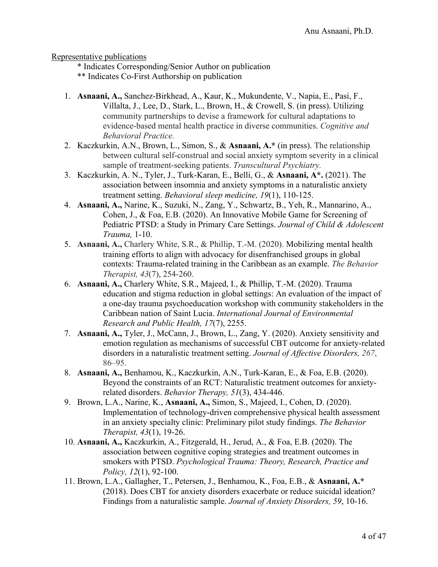Representative publications

- \* Indicates Corresponding/Senior Author on publication
- \*\* Indicates Co-First Authorship on publication
- 1. **Asnaani, A.,** Sanchez-Birkhead, A., Kaur, K., Mukundente, V., Napia, E., Pasi, F., Villalta, J., Lee, D., Stark, L., Brown, H., & Crowell, S. (in press). Utilizing community partnerships to devise a framework for cultural adaptations to evidence-based mental health practice in diverse communities. *Cognitive and Behavioral Practice.*
- 2. Kaczkurkin, A.N., Brown, L., Simon, S., & **Asnaani, A.\*** (in press). The relationship between cultural self-construal and social anxiety symptom severity in a clinical sample of treatment-seeking patients. *Transcultural Psychiatry.*
- 3. Kaczkurkin, A. N., Tyler, J., Turk-Karan, E., Belli, G., & **Asnaani, A\*.** (2021). The association between insomnia and anxiety symptoms in a naturalistic anxiety treatment setting. *Behavioral sleep medicine, 19*(1), 110-125.
- 4. **Asnaani, A.,** Narine, K., Suzuki, N., Zang, Y., Schwartz, B., Yeh, R., Mannarino, A., Cohen, J., & Foa, E.B. (2020). An Innovative Mobile Game for Screening of Pediatric PTSD: a Study in Primary Care Settings. *Journal of Child & Adolescent Trauma,* 1-10.
- 5. **Asnaani, A.,** Charlery White, S.R., & Phillip, T.-M. (2020). Mobilizing mental health training efforts to align with advocacy for disenfranchised groups in global contexts: Trauma-related training in the Caribbean as an example. *The Behavior Therapist, 43*(7), 254-260.
- 6. **Asnaani, A.,** Charlery White, S.R., Majeed, I., & Phillip, T.-M. (2020). Trauma education and stigma reduction in global settings: An evaluation of the impact of a one-day trauma psychoeducation workshop with community stakeholders in the Caribbean nation of Saint Lucia. *International Journal of Environmental Research and Public Health, 17*(7), 2255.
- 7. **Asnaani, A.,** Tyler, J., McCann, J., Brown, L., Zang, Y. (2020). Anxiety sensitivity and emotion regulation as mechanisms of successful CBT outcome for anxiety-related disorders in a naturalistic treatment setting. *Journal of Affective Disorders, 267*, 86–95.
- 8. **Asnaani, A.,** Benhamou, K., Kaczkurkin, A.N., Turk-Karan, E., & Foa, E.B. (2020). Beyond the constraints of an RCT: Naturalistic treatment outcomes for anxietyrelated disorders. *Behavior Therapy, 51*(3), 434-446.
- 9. Brown, L.A., Narine, K., **Asnaani, A.,** Simon, S., Majeed, I., Cohen, D. (2020). Implementation of technology-driven comprehensive physical health assessment in an anxiety specialty clinic: Preliminary pilot study findings. *The Behavior Therapist, 43*(1), 19-26.
- 10. **Asnaani, A.,** Kaczkurkin, A., Fitzgerald, H., Jerud, A., & Foa, E.B. (2020). The association between cognitive coping strategies and treatment outcomes in smokers with PTSD. *Psychological Trauma: Theory, Research, Practice and Policy, 12*(1), 92-100.
- 11. Brown, L.A., Gallagher, T., Petersen, J., Benhamou, K., Foa, E.B., & **Asnaani, A.\***  (2018). Does CBT for anxiety disorders exacerbate or reduce suicidal ideation? Findings from a naturalistic sample. *Journal of Anxiety Disorders, 59*, 10-16.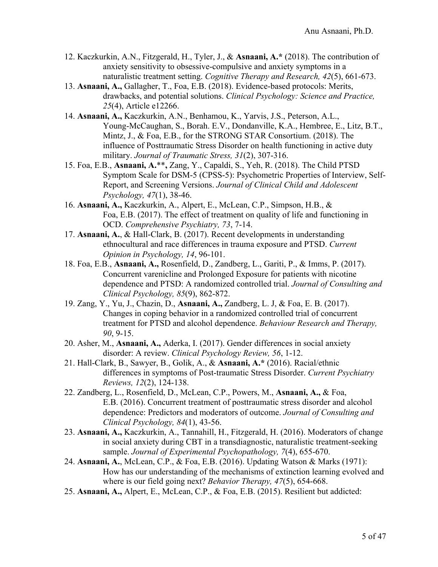- 12. Kaczkurkin, A.N., Fitzgerald, H., Tyler, J., & **Asnaani, A.\*** (2018). The contribution of anxiety sensitivity to obsessive-compulsive and anxiety symptoms in a naturalistic treatment setting. *Cognitive Therapy and Research, 42*(5), 661-673.
- 13. **Asnaani, A.,** Gallagher, T., Foa, E.B. (2018). Evidence-based protocols: Merits, drawbacks, and potential solutions. *Clinical Psychology: Science and Practice, 25*(4), Article e12266.
- 14. **Asnaani, A.,** Kaczkurkin, A.N., Benhamou, K., Yarvis, J.S., Peterson, A.L., Young-McCaughan, S., Borah. E.V., Dondanville, K.A., Hembree, E., Litz, B.T., Mintz, J., & Foa, E.B., for the STRONG STAR Consortium. (2018). The influence of Posttraumatic Stress Disorder on health functioning in active duty military. *Journal of Traumatic Stress, 31*(2), 307-316.
- 15. Foa, E.B., **Asnaani, A.**\*\***,** Zang, Y., Capaldi, S., Yeh, R. (2018). The Child PTSD Symptom Scale for DSM-5 (CPSS-5): Psychometric Properties of Interview, Self-Report, and Screening Versions. *Journal of Clinical Child and Adolescent Psychology, 47*(1), 38-46.
- 16. **Asnaani, A.,** Kaczkurkin, A., Alpert, E., McLean, C.P., Simpson, H.B., & Foa, E.B. (2017). The effect of treatment on quality of life and functioning in OCD. *Comprehensive Psychiatry, 73*, 7-14.
- 17. **Asnaani, A.**, & Hall-Clark, B. (2017). Recent developments in understanding ethnocultural and race differences in trauma exposure and PTSD. *Current Opinion in Psychology, 14*, 96-101.
- 18. Foa, E.B., **Asnaani, A.,** Rosenfield, D., Zandberg, L., Gariti, P., & Imms, P. (2017). Concurrent varenicline and Prolonged Exposure for patients with nicotine dependence and PTSD: A randomized controlled trial. *Journal of Consulting and Clinical Psychology, 85*(9), 862-872.
- 19. Zang, Y., Yu, J., Chazin, D., **Asnaani, A.,** Zandberg, L. J, & Foa, E. B. (2017). Changes in coping behavior in a randomized controlled trial of concurrent treatment for PTSD and alcohol dependence. *Behaviour Research and Therapy, 90*, 9-15.
- 20. Asher, M., **Asnaani, A.,** Aderka, I. (2017). Gender differences in social anxiety disorder: A review. *Clinical Psychology Review, 56*, 1-12.
- 21. Hall-Clark, B., Sawyer, B., Golik, A., & **Asnaani, A.\*** (2016). Racial/ethnic differences in symptoms of Post-traumatic Stress Disorder. *Current Psychiatry Reviews, 12*(2), 124-138.
- 22. Zandberg, L., Rosenfield, D., McLean, C.P., Powers, M., **Asnaani, A.,** & Foa, E.B. (2016). Concurrent treatment of posttraumatic stress disorder and alcohol dependence: Predictors and moderators of outcome. *Journal of Consulting and Clinical Psychology, 84*(1), 43-56.
- 23. **Asnaani, A.,** Kaczkurkin, A., Tannahill, H., Fitzgerald, H. (2016). Moderators of change in social anxiety during CBT in a transdiagnostic, naturalistic treatment-seeking sample. *Journal of Experimental Psychopathology, 7*(4), 655-670.
- 24. **Asnaani, A.**, McLean, C.P., & Foa, E.B. (2016). Updating Watson & Marks (1971): How has our understanding of the mechanisms of extinction learning evolved and where is our field going next? *Behavior Therapy, 47*(5), 654-668.
- 25. **Asnaani, A.,** Alpert, E., McLean, C.P., & Foa, E.B. (2015). Resilient but addicted: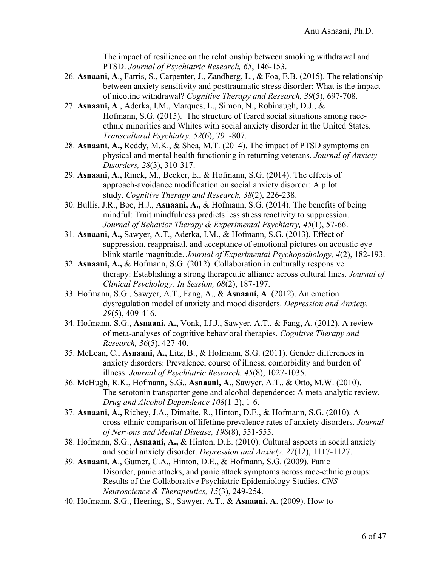The impact of resilience on the relationship between smoking withdrawal and PTSD. *Journal of Psychiatric Research, 65*, 146-153.

- 26. **Asnaani, A**., Farris, S., Carpenter, J., Zandberg, L., & Foa, E.B. (2015). The relationship between anxiety sensitivity and posttraumatic stress disorder: What is the impact of nicotine withdrawal? *Cognitive Therapy and Research, 39*(5), 697-708.
- 27. **Asnaani, A**., Aderka, I.M., Marques, L., Simon, N., Robinaugh, D.J., & Hofmann, S.G. (2015). The structure of feared social situations among raceethnic minorities and Whites with social anxiety disorder in the United States. *Transcultural Psychiatry, 52*(6), 791-807.
- 28. **Asnaani, A.,** Reddy, M.K., & Shea, M.T. (2014). The impact of PTSD symptoms on physical and mental health functioning in returning veterans. *Journal of Anxiety Disorders, 28*(3), 310-317.
- 29. **Asnaani, A.,** Rinck, M., Becker, E., & Hofmann, S.G. (2014). The effects of approach-avoidance modification on social anxiety disorder: A pilot study. *Cognitive Therapy and Research, 38*(2), 226-238.
- 30. Bullis, J.R., Boe, H.J., **Asnaani, A.,** & Hofmann, S.G. (2014). The benefits of being mindful: Trait mindfulness predicts less stress reactivity to suppression. *Journal of Behavior Therapy & Experimental Psychiatry, 45*(1), 57-66.
- 31. **Asnaani, A.,** Sawyer, A.T., Aderka, I.M., & Hofmann, S.G. (2013). Effect of suppression, reappraisal, and acceptance of emotional pictures on acoustic eyeblink startle magnitude. *Journal of Experimental Psychopathology, 4*(2), 182-193.
- 32. **Asnaani, A.,** & Hofmann, S.G. (2012). Collaboration in culturally responsive therapy: Establishing a strong therapeutic alliance across cultural lines. *Journal of Clinical Psychology: In Session, 68*(2), 187-197.
- 33. Hofmann, S.G., Sawyer, A.T., Fang, A., & **Asnaani, A**. (2012). An emotion dysregulation model of anxiety and mood disorders. *Depression and Anxiety, 29*(5), 409-416.
- 34. Hofmann, S.G., **Asnaani, A.,** Vonk, I.J.J., Sawyer, A.T., & Fang, A. (2012). A review of meta-analyses of cognitive behavioral therapies. *Cognitive Therapy and Research, 36*(5), 427-40.
- 35. McLean, C., **Asnaani, A.,** Litz, B., & Hofmann, S.G. (2011). Gender differences in anxiety disorders: Prevalence, course of illness, comorbidity and burden of illness. *Journal of Psychiatric Research, 45*(8), 1027-1035.
- 36. McHugh, R.K., Hofmann, S.G., **Asnaani, A**., Sawyer, A.T., & Otto, M.W. (2010). The serotonin transporter gene and alcohol dependence: A meta-analytic review. *Drug and Alcohol Dependence 108*(1-2), 1-6.
- 37. **Asnaani, A.,** Richey, J.A., Dimaite, R., Hinton, D.E., & Hofmann, S.G. (2010). A cross-ethnic comparison of lifetime prevalence rates of anxiety disorders. *Journal of Nervous and Mental Disease, 198*(8), 551-555.
- 38. Hofmann, S.G., **Asnaani, A.,** & Hinton, D.E. (2010). Cultural aspects in social anxiety and social anxiety disorder. *Depression and Anxiety, 27*(12), 1117-1127.
- 39. **Asnaani, A**., Gutner, C.A., Hinton, D.E., & Hofmann, S.G. (2009). Panic Disorder, panic attacks, and panic attack symptoms across race-ethnic groups: Results of the Collaborative Psychiatric Epidemiology Studies. *CNS Neuroscience & Therapeutics, 15*(3), 249-254.
- 40. Hofmann, S.G., Heering, S., Sawyer, A.T., & **Asnaani, A**. (2009). How to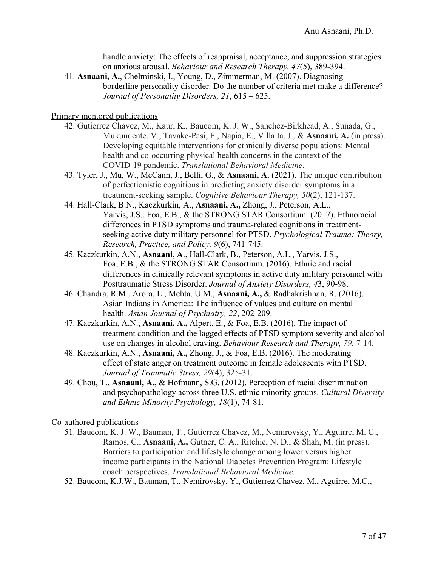handle anxiety: The effects of reappraisal, acceptance, and suppression strategies on anxious arousal. *Behaviour and Research Therapy, 47*(5), 389-394.

41. **Asnaani, A.**, Chelminski, I., Young, D., Zimmerman, M. (2007). Diagnosing borderline personality disorder: Do the number of criteria met make a difference? *Journal of Personality Disorders, 21*, 615 – 625.

Primary mentored publications

- 42. Gutierrez Chavez, M., Kaur, K., Baucom, K. J. W., Sanchez-Birkhead, A., Sunada, G., Mukundente, V., Tavake-Pasi, F., Napia, E., Villalta, J., & **Asnaani, A.** (in press). Developing equitable interventions for ethnically diverse populations: Mental health and co-occurring physical health concerns in the context of the COVID-19 pandemic. *Translational Behavioral Medicine*.
- 43. Tyler, J., Mu, W., McCann, J., Belli, G., & **Asnaani, A.** (2021). The unique contribution of perfectionistic cognitions in predicting anxiety disorder symptoms in a treatment-seeking sample. *Cognitive Behaviour Therapy, 50*(2), 121-137.
- 44. Hall-Clark, B.N., Kaczkurkin, A., **Asnaani, A.,** Zhong, J., Peterson, A.L., Yarvis, J.S., Foa, E.B., & the STRONG STAR Consortium. (2017). Ethnoracial differences in PTSD symptoms and trauma-related cognitions in treatmentseeking active duty military personnel for PTSD. *Psychological Trauma: Theory, Research, Practice, and Policy, 9*(6), 741-745.
- 45. Kaczkurkin, A.N., **Asnaani, A**., Hall-Clark, B., Peterson, A.L., Yarvis, J.S., Foa, E.B., & the STRONG STAR Consortium. (2016). Ethnic and racial differences in clinically relevant symptoms in active duty military personnel with Posttraumatic Stress Disorder. *Journal of Anxiety Disorders, 4*3, 90-98.
- 46. Chandra, R.M., Arora, L., Mehta, U.M., **Asnaani, A.,** & Radhakrishnan, R. (2016). Asian Indians in America: The influence of values and culture on mental health. *Asian Journal of Psychiatry, 22*, 202-209.
- 47. Kaczkurkin, A.N., **Asnaani, A.,** Alpert, E., & Foa, E.B. (2016). The impact of treatment condition and the lagged effects of PTSD symptom severity and alcohol use on changes in alcohol craving. *Behaviour Research and Therapy, 79*, 7-14.
- 48. Kaczkurkin, A.N., **Asnaani, A.,** Zhong, J., & Foa, E.B. (2016). The moderating effect of state anger on treatment outcome in female adolescents with PTSD. *Journal of Traumatic Stress, 29*(4), 325-31.
- 49. Chou, T., **Asnaani, A.,** & Hofmann, S.G. (2012). Perception of racial discrimination and psychopathology across three U.S. ethnic minority groups. *Cultural Diversity and Ethnic Minority Psychology, 18*(1), 74-81.

Co-authored publications

- 51. Baucom, K. J. W., Bauman, T., Gutierrez Chavez, M., Nemirovsky, Y., Aguirre, M. C., Ramos, C., **Asnaani, A.,** Gutner, C. A., Ritchie, N. D., & Shah, M. (in press). Barriers to participation and lifestyle change among lower versus higher income participants in the National Diabetes Prevention Program: Lifestyle coach perspectives. *Translational Behavioral Medicine.*
- 52. Baucom, K.J.W., Bauman, T., Nemirovsky, Y., Gutierrez Chavez, M., Aguirre, M.C.,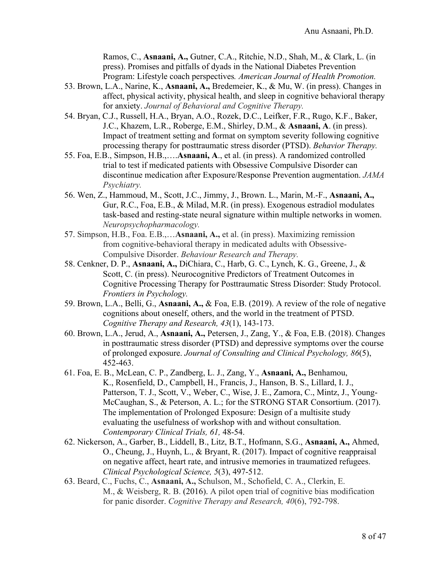Ramos, C., **Asnaani, A.,** Gutner, C.A., Ritchie, N.D., Shah, M., & Clark, L. (in press). Promises and pitfalls of dyads in the National Diabetes Prevention Program: Lifestyle coach perspectives*. American Journal of Health Promotion.*

- 53. Brown, L.A., Narine, K., **Asnaani, A.,** Bredemeier, K., & Mu, W. (in press). Changes in affect, physical activity, physical health, and sleep in cognitive behavioral therapy for anxiety. *Journal of Behavioral and Cognitive Therapy.*
- 54. Bryan, C.J., Russell, H.A., Bryan, A.O., Rozek, D.C., Leifker, F.R., Rugo, K.F., Baker, J.C., Khazem, L.R., Roberge, E.M., Shirley, D.M., & **Asnaani, A**. (in press). Impact of treatment setting and format on symptom severity following cognitive processing therapy for posttraumatic stress disorder (PTSD). *Behavior Therapy.*
- 55. Foa, E.B., Simpson, H.B.,….**Asnaani, A**., et al. (in press). A randomized controlled trial to test if medicated patients with Obsessive Compulsive Disorder can discontinue medication after Exposure/Response Prevention augmentation. *JAMA Psychiatry.*
- 56. Wen, Z., Hammoud, M., Scott, J.C., Jimmy, J., Brown. L., Marin, M.-F., **Asnaani, A.,** Gur, R.C., Foa, E.B., & Milad, M.R. (in press). Exogenous estradiol modulates task-based and resting-state neural signature within multiple networks in women. *Neuropsychopharmacology.*
- 57. Simpson, H.B., Foa. E.B.,…**Asnaani, A.,** et al. (in press). Maximizing remission from cognitive-behavioral therapy in medicated adults with Obsessive-Compulsive Disorder. *Behaviour Research and Therapy.*
- 58. Cenkner, D. P., **Asnaani, A.,** DiChiara, C., Harb, G. C., Lynch, K. G., Greene, J., & Scott, C. (in press). Neurocognitive Predictors of Treatment Outcomes in Cognitive Processing Therapy for Posttraumatic Stress Disorder: Study Protocol. *Frontiers in Psychology.*
- 59. Brown, L.A., Belli, G., **Asnaani, A.,** & Foa, E.B. (2019). A review of the role of negative cognitions about oneself, others, and the world in the treatment of PTSD. *Cognitive Therapy and Research, 43*(1), 143-173.
- 60. Brown, L.A., Jerud, A., **Asnaani, A.,** Petersen, J., Zang, Y., & Foa, E.B. (2018). Changes in posttraumatic stress disorder (PTSD) and depressive symptoms over the course of prolonged exposure. *Journal of Consulting and Clinical Psychology, 86*(5), 452-463.
- 61. Foa, E. B., McLean, C. P., Zandberg, L. J., Zang, Y., **Asnaani, A.,** Benhamou, K., Rosenfield, D., Campbell, H., Francis, J., Hanson, B. S., Lillard, I. J., Patterson, T. J., Scott, V., Weber, C., Wise, J. E., Zamora, C., Mintz, J., Young-McCaughan, S., & Peterson, A. L.; for the STRONG STAR Consortium. (2017). The implementation of Prolonged Exposure: Design of a multisite study evaluating the usefulness of workshop with and without consultation. *Contemporary Clinical Trials, 61,* 48-54.
- 62. Nickerson, A., Garber, B., Liddell, B., Litz, B.T., Hofmann, S.G., **Asnaani, A.,** Ahmed, O., Cheung, J., Huynh, L., & Bryant, R. (2017). Impact of cognitive reappraisal on negative affect, heart rate, and intrusive memories in traumatized refugees. *Clinical Psychological Science, 5*(3), 497-512.
- 63. Beard, C., Fuchs, C., **Asnaani, A.,** Schulson, M., Schofield, C. A., Clerkin, E. M., & Weisberg, R. B. (2016). A pilot open trial of cognitive bias modification for panic disorder. *Cognitive Therapy and Research, 40*(6), 792-798.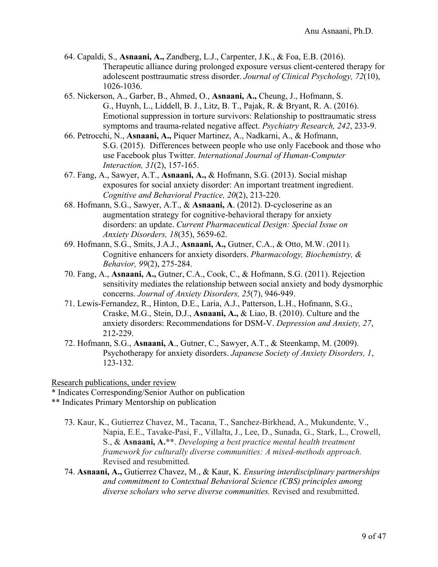- 64. Capaldi, S., **Asnaani, A.,** Zandberg, L.J., Carpenter, J.K., & Foa, E.B. (2016). Therapeutic alliance during prolonged exposure versus client-centered therapy for adolescent posttraumatic stress disorder. *Journal of Clinical Psychology, 72*(10), 1026-1036.
- 65. Nickerson, A., Garber, B., Ahmed, O., **Asnaani, A.,** Cheung, J., Hofmann, S. G., Huynh, L., Liddell, B. J., Litz, B. T., Pajak, R. & Bryant, R. A. (2016). Emotional suppression in torture survivors: Relationship to posttraumatic stress symptoms and trauma-related negative affect. *Psychiatry Research, 242*, 233-9.
- 66. Petrocchi, N., **Asnaani, A.,** Piquer Martinez, A., Nadkarni, A., & Hofmann, S.G. (2015). Differences between people who use only Facebook and those who use Facebook plus Twitter. *International Journal of Human-Computer Interaction, 31*(2), 157-165.
- 67. Fang, A., Sawyer, A.T., **Asnaani, A.,** & Hofmann, S.G. (2013). Social mishap exposures for social anxiety disorder: An important treatment ingredient. *Cognitive and Behavioral Practice, 20*(2), 213-220.
- 68. Hofmann, S.G., Sawyer, A.T., & **Asnaani, A**. (2012). D-cycloserine as an augmentation strategy for cognitive-behavioral therapy for anxiety disorders: an update. *Current Pharmaceutical Design: Special Issue on Anxiety Disorders, 18*(35), 5659-62.
- 69. Hofmann, S.G., Smits, J.A.J., **Asnaani, A.,** Gutner, C.A., & Otto, M.W. (2011). Cognitive enhancers for anxiety disorders. *Pharmacology, Biochemistry, & Behavior, 99*(2), 275-284.
- 70. Fang, A., **Asnaani, A.,** Gutner, C.A., Cook, C., & Hofmann, S.G. (2011). Rejection sensitivity mediates the relationship between social anxiety and body dysmorphic concerns. *Journal of Anxiety Disorders, 25*(7), 946-949.
- 71. Lewis-Fernandez, R., Hinton, D.E., Laria, A.J., Patterson, L.H., Hofmann, S.G., Craske, M.G., Stein, D.J., **Asnaani, A.,** & Liao, B. (2010). Culture and the anxiety disorders: Recommendations for DSM-V. *Depression and Anxiety, 27*, 212-229.
- 72. Hofmann, S.G., **Asnaani, A**., Gutner, C., Sawyer, A.T., & Steenkamp, M. (2009). Psychotherapy for anxiety disorders. *Japanese Society of Anxiety Disorders, 1*, 123-132.

Research publications, under review

- \* Indicates Corresponding/Senior Author on publication
- \*\* Indicates Primary Mentorship on publication
	- 73. Kaur, K., Gutierrez Chavez, M., Tacana, T., Sanchez-Birkhead, A., Mukundente, V., Napia, E.E., Tavake-Pasi, F., Villalta, J., Lee, D., Sunada, G., Stark, L., Crowell, S., & **Asnaani, A.\*\***. *Developing a best practice mental health treatment framework for culturally diverse communities: A mixed-methods approach.* Revised and resubmitted.
	- 74. **Asnaani, A.,** Gutierrez Chavez, M., & Kaur, K. *Ensuring interdisciplinary partnerships and commitment to Contextual Behavioral Science (CBS) principles among diverse scholars who serve diverse communities.* Revised and resubmitted.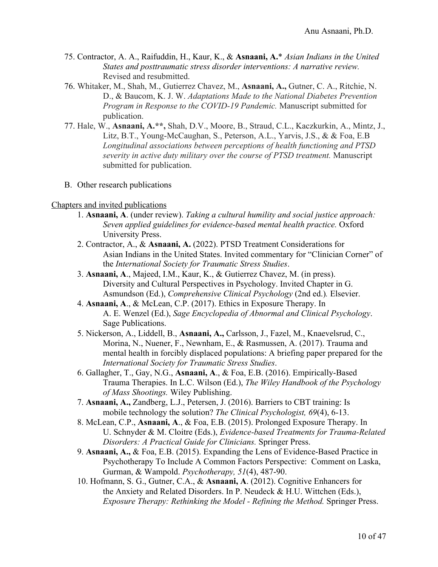- 75. Contractor, A. A., Raifuddin, H., Kaur, K., & **Asnaani, A.**\* *Asian Indians in the United States and posttraumatic stress disorder interventions: A narrative review.*  Revised and resubmitted.
- 76. Whitaker, M., Shah, M., Gutierrez Chavez, M., **Asnaani, A.,** Gutner, C. A., Ritchie, N. D., & Baucom, K. J. W. *Adaptations Made to the National Diabetes Prevention Program in Response to the COVID-19 Pandemic.* Manuscript submitted for publication.
- 77. Hale, W., **Asnaani, A.\*\*,** Shah, D.V., Moore, B., Straud, C.L., Kaczkurkin, A., Mintz, J., Litz, B.T., Young-McCaughan, S., Peterson, A.L., Yarvis, J.S., & & Foa, E.B *Longitudinal associations between perceptions of health functioning and PTSD severity in active duty military over the course of PTSD treatment.* Manuscript submitted for publication.
- B. Other research publications

#### Chapters and invited publications

- 1. **Asnaani, A**. (under review). *Taking a cultural humility and social justice approach: Seven applied guidelines for evidence-based mental health practice.* Oxford University Press.
- 2. Contractor, A., & **Asnaani, A.** (2022). PTSD Treatment Considerations for Asian Indians in the United States. Invited commentary for "Clinician Corner" of the *International Society for Traumatic Stress Studies*.
- 3. **Asnaani, A**., Majeed, I.M., Kaur, K., & Gutierrez Chavez, M. (in press). Diversity and Cultural Perspectives in Psychology. Invited Chapter in G. Asmundson (Ed.), *Comprehensive Clinical Psychology* (2nd ed.)*.* Elsevier.
- 4. **Asnaani, A**., & McLean, C.P. (2017). Ethics in Exposure Therapy. In A. E. Wenzel (Ed.), *Sage Encyclopedia of Abnormal and Clinical Psychology*. Sage Publications.
- 5. Nickerson, A., Liddell, B., **Asnaani, A.,** Carlsson, J., Fazel, M., Knaevelsrud, C., Morina, N., Nuener, F., Newnham, E., & Rasmussen, A. (2017). Trauma and mental health in forcibly displaced populations: A briefing paper prepared for the *International Society for Traumatic Stress Studies*.
- 6. Gallagher, T., Gay, N.G., **Asnaani, A**., & Foa, E.B. (2016). Empirically-Based Trauma Therapies. In L.C. Wilson (Ed.), *The Wiley Handbook of the Psychology of Mass Shootings.* Wiley Publishing.
- 7. **Asnaani, A.,** Zandberg, L.J., Petersen, J. (2016). Barriers to CBT training: Is mobile technology the solution? *The Clinical Psychologist, 69*(4), 6-13.
- 8. McLean, C.P., **Asnaani, A**., & Foa, E.B. (2015). Prolonged Exposure Therapy. In U. Schnyder & M. Cloitre (Eds.), *Evidence-based Treatments for Trauma-Related Disorders: A Practical Guide for Clinicians.* Springer Press.
- 9. **Asnaani, A.,** & Foa, E.B. (2015). Expanding the Lens of Evidence-Based Practice in Psychotherapy To Include A Common Factors Perspective: Comment on Laska, Gurman, & Wampold. *Psychotherapy, 51*(4), 487-90.
- 10. Hofmann, S. G., Gutner, C.A., & **Asnaani, A**. (2012). Cognitive Enhancers for the Anxiety and Related Disorders. In P. Neudeck & H.U. Wittchen (Eds.), *Exposure Therapy: Rethinking the Model - Refining the Method.* Springer Press.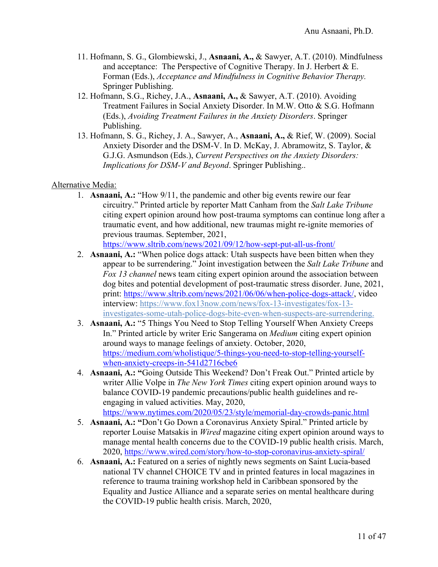- 11. Hofmann, S. G., Glombiewski, J., **Asnaani, A.,** & Sawyer, A.T. (2010). Mindfulness and acceptance: The Perspective of Cognitive Therapy. In J. Herbert  $& E$ . Forman (Eds.), *Acceptance and Mindfulness in Cognitive Behavior Therapy.* Springer Publishing.
- 12. Hofmann, S.G., Richey, J.A., **Asnaani, A.,** & Sawyer, A.T. (2010). Avoiding Treatment Failures in Social Anxiety Disorder. In M.W. Otto & S.G. Hofmann (Eds.), *Avoiding Treatment Failures in the Anxiety Disorders*. Springer Publishing.
- 13. Hofmann, S. G., Richey, J. A., Sawyer, A., **Asnaani, A.,** & Rief, W. (2009). Social Anxiety Disorder and the DSM-V. In D. McKay, J. Abramowitz, S. Taylor, & G.J.G. Asmundson (Eds.), *Current Perspectives on the Anxiety Disorders: Implications for DSM-V and Beyond*. Springer Publishing..

### Alternative Media:

- 1. **Asnaani, A.:** "How 9/11, the pandemic and other big events rewire our fear circuitry." Printed article by reporter Matt Canham from the *Salt Lake Tribune* citing expert opinion around how post-trauma symptoms can continue long after a traumatic event, and how additional, new traumas might re-ignite memories of previous traumas. September, 2021, https://www.sltrib.com/news/2021/09/12/how-sept-put-all-us-front/
- 2. **Asnaani, A.:** "When police dogs attack: Utah suspects have been bitten when they appear to be surrendering." Joint investigation between the *Salt Lake Tribune* and *Fox 13 channel* news team citing expert opinion around the association between dog bites and potential development of post-traumatic stress disorder. June, 2021, print: https://www.sltrib.com/news/2021/06/06/when-police-dogs-attack/, video interview: https://www.fox13now.com/news/fox-13-investigates/fox-13 investigates-some-utah-police-dogs-bite-even-when-suspects-are-surrendering.
- 3. **Asnaani, A.:** "5 Things You Need to Stop Telling Yourself When Anxiety Creeps In." Printed article by writer Eric Sangerama on *Medium* citing expert opinion around ways to manage feelings of anxiety. October, 2020, https://medium.com/wholistique/5-things-you-need-to-stop-telling-yourselfwhen-anxiety-creeps-in-541d2716cbe6
- 4. **Asnaani, A.: "**Going Outside This Weekend? Don't Freak Out." Printed article by writer Allie Volpe in *The New York Times* citing expert opinion around ways to balance COVID-19 pandemic precautions/public health guidelines and reengaging in valued activities. May, 2020, https://www.nytimes.com/2020/05/23/style/memorial-day-crowds-panic.html
- 5. **Asnaani, A.: "**Don't Go Down a Coronavirus Anxiety Spiral." Printed article by reporter Louise Matsakis in *Wired* magazine citing expert opinion around ways to manage mental health concerns due to the COVID-19 public health crisis. March, 2020, https://www.wired.com/story/how-to-stop-coronavirus-anxiety-spiral/
- 6. **Asnaani, A.:** Featured on a series of nightly news segments on Saint Lucia-based national TV channel CHOICE TV and in printed features in local magazines in reference to trauma training workshop held in Caribbean sponsored by the Equality and Justice Alliance and a separate series on mental healthcare during the COVID-19 public health crisis. March, 2020,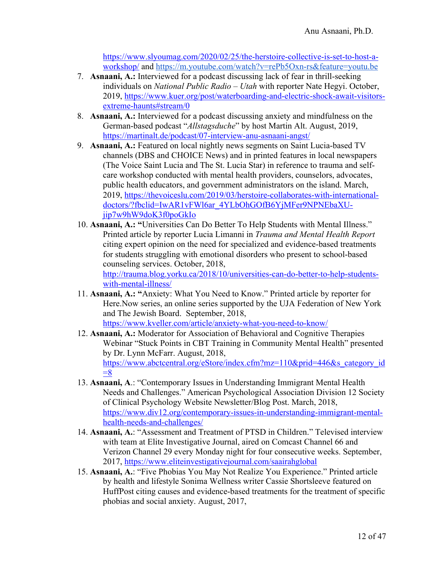https://www.slyoumag.com/2020/02/25/the-herstoire-collective-is-set-to-host-aworkshop/ and https://m.youtube.com/watch?v=rePb5Oxn-rs&feature=youtu.be

- 7. **Asnaani, A.:** Interviewed for a podcast discussing lack of fear in thrill-seeking individuals on *National Public Radio – Utah* with reporter Nate Hegyi. October, 2019, https://www.kuer.org/post/waterboarding-and-electric-shock-await-visitorsextreme-haunts#stream/0
- 8. **Asnaani, A.:** Interviewed for a podcast discussing anxiety and mindfulness on the German-based podcast "*Allstagsduche*" by host Martin Alt. August, 2019, https://martinalt.de/podcast/07-interview-anu-asnaani-angst/
- 9. **Asnaani, A.:** Featured on local nightly news segments on Saint Lucia-based TV channels (DBS and CHOICE News) and in printed features in local newspapers (The Voice Saint Lucia and The St. Lucia Star) in reference to trauma and selfcare workshop conducted with mental health providers, counselors, advocates, public health educators, and government administrators on the island. March, 2019, https://thevoiceslu.com/2019/03/herstoire-collaborates-with-internationaldoctors/?fbclid=IwAR1vFWl6ar\_4YLbOhGOfB6YjMFer9NPNEbaXUjip7w9hW9doK3f0poGkIo
- 10. **Asnaani, A.: "**Universities Can Do Better To Help Students with Mental Illness." Printed article by reporter Lucia Limanni in *Trauma and Mental Health Report*  citing expert opinion on the need for specialized and evidence-based treatments for students struggling with emotional disorders who present to school-based counseling services. October, 2018, http://trauma.blog.yorku.ca/2018/10/universities-can-do-better-to-help-students-

with-mental-illness/

- 11. **Asnaani, A.: "**Anxiety: What You Need to Know." Printed article by reporter for Here.Now series, an online series supported by the UJA Federation of New York and The Jewish Board. September, 2018, https://www.kveller.com/article/anxiety-what-you-need-to-know/
- 12. **Asnaani, A.:** Moderator for Association of Behavioral and Cognitive Therapies Webinar "Stuck Points in CBT Training in Community Mental Health" presented by Dr. Lynn McFarr. August, 2018, https://www.abctcentral.org/eStore/index.cfm?mz=110&prid=446&s category id  $=8$
- 13. **Asnaani, A**.: "Contemporary Issues in Understanding Immigrant Mental Health Needs and Challenges." American Psychological Association Division 12 Society of Clinical Psychology Website Newsletter/Blog Post. March, 2018, https://www.div12.org/contemporary-issues-in-understanding-immigrant-mentalhealth-needs-and-challenges/
- 14. **Asnaani, A.**: "Assessment and Treatment of PTSD in Children." Televised interview with team at Elite Investigative Journal, aired on Comcast Channel 66 and Verizon Channel 29 every Monday night for four consecutive weeks. September, 2017, https://www.eliteinvestigativejournal.com/saairahglobal
- 15. **Asnaani, A.**: "Five Phobias You May Not Realize You Experience." Printed article by health and lifestyle Sonima Wellness writer Cassie Shortsleeve featured on HuffPost citing causes and evidence-based treatments for the treatment of specific phobias and social anxiety. August, 2017,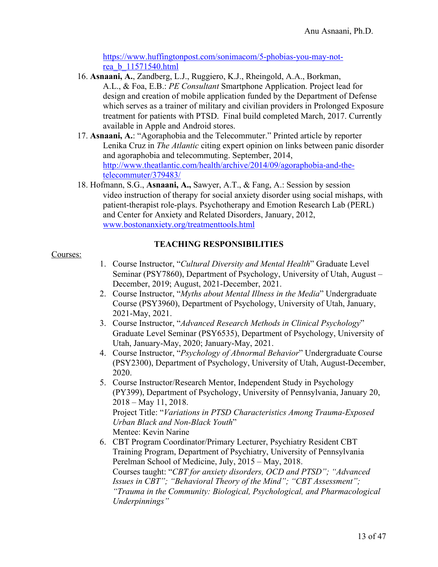https://www.huffingtonpost.com/sonimacom/5-phobias-you-may-notrea\_b\_11571540.html

- 16. **Asnaani, A.**, Zandberg, L.J., Ruggiero, K.J., Rheingold, A.A., Borkman, A.L., & Foa, E.B.: *PE Consultant* Smartphone Application. Project lead for design and creation of mobile application funded by the Department of Defense which serves as a trainer of military and civilian providers in Prolonged Exposure treatment for patients with PTSD. Final build completed March, 2017. Currently available in Apple and Android stores.
- 17. **Asnaani, A.**: "Agoraphobia and the Telecommuter." Printed article by reporter Lenika Cruz in *The Atlantic* citing expert opinion on links between panic disorder and agoraphobia and telecommuting. September, 2014, http://www.theatlantic.com/health/archive/2014/09/agoraphobia-and-thetelecommuter/379483/
- 18. Hofmann, S.G., **Asnaani, A.,** Sawyer, A.T., & Fang, A.: Session by session video instruction of therapy for social anxiety disorder using social mishaps, with patient-therapist role-plays. Psychotherapy and Emotion Research Lab (PERL) and Center for Anxiety and Related Disorders, January, 2012, www.bostonanxiety.org/treatmenttools.html

# **TEACHING RESPONSIBILITIES**

### Courses:

- 1. Course Instructor, "*Cultural Diversity and Mental Health*" Graduate Level Seminar (PSY7860), Department of Psychology, University of Utah, August – December, 2019; August, 2021-December, 2021.
- 2. Course Instructor, "*Myths about Mental Illness in the Media*" Undergraduate Course (PSY3960), Department of Psychology, University of Utah, January, 2021-May, 2021.
- 3. Course Instructor, "*Advanced Research Methods in Clinical Psychology*" Graduate Level Seminar (PSY6535), Department of Psychology, University of Utah, January-May, 2020; January-May, 2021.
- 4. Course Instructor, "*Psychology of Abnormal Behavior*" Undergraduate Course (PSY2300), Department of Psychology, University of Utah, August-December, 2020.
- 5. Course Instructor/Research Mentor, Independent Study in Psychology (PY399), Department of Psychology, University of Pennsylvania, January 20, 2018 – May 11, 2018. Project Title: "*Variations in PTSD Characteristics Among Trauma-Exposed Urban Black and Non-Black Youth*" Mentee: Kevin Narine
- 6. CBT Program Coordinator/Primary Lecturer, Psychiatry Resident CBT Training Program, Department of Psychiatry, University of Pennsylvania Perelman School of Medicine, July, 2015 – May, 2018. Courses taught: "*CBT for anxiety disorders, OCD and PTSD"; "Advanced Issues in CBT"; "Behavioral Theory of the Mind"; "CBT Assessment"; "Trauma in the Community: Biological, Psychological, and Pharmacological Underpinnings"*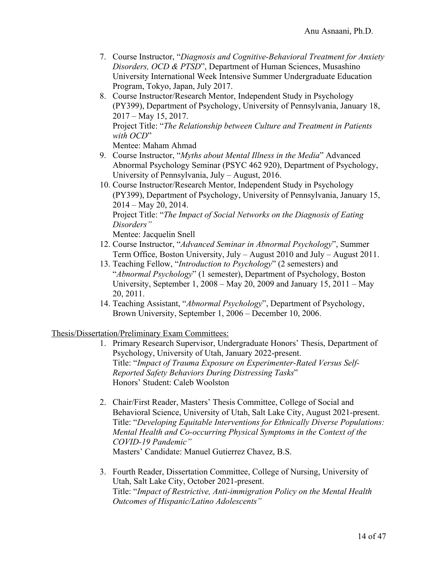- 7. Course Instructor, "*Diagnosis and Cognitive-Behavioral Treatment for Anxiety Disorders, OCD & PTSD*", Department of Human Sciences, Musashino University International Week Intensive Summer Undergraduate Education Program, Tokyo, Japan, July 2017.
- 8. Course Instructor/Research Mentor, Independent Study in Psychology (PY399), Department of Psychology, University of Pennsylvania, January 18, 2017 – May 15, 2017. Project Title: "*The Relationship between Culture and Treatment in Patients with OCD*"

Mentee: Maham Ahmad

- 9. Course Instructor, "*Myths about Mental Illness in the Media*" Advanced Abnormal Psychology Seminar (PSYC 462 920), Department of Psychology, University of Pennsylvania, July – August, 2016.
- 10. Course Instructor/Research Mentor, Independent Study in Psychology (PY399), Department of Psychology, University of Pennsylvania, January 15, 2014 – May 20, 2014. Project Title: "*The Impact of Social Networks on the Diagnosis of Eating Disorders"*

Mentee: Jacquelin Snell

- 12. Course Instructor, "*Advanced Seminar in Abnormal Psychology*", Summer Term Office, Boston University, July – August 2010 and July – August 2011.
- 13. Teaching Fellow, "*Introduction to Psychology*" (2 semesters) and "*Abnormal Psychology*" (1 semester), Department of Psychology, Boston University, September 1, 2008 – May 20, 2009 and January 15, 2011 – May 20, 2011.
- 14. Teaching Assistant, "*Abnormal Psychology*", Department of Psychology, Brown University, September 1, 2006 – December 10, 2006.

Thesis/Dissertation/Preliminary Exam Committees:

- 1. Primary Research Supervisor, Undergraduate Honors' Thesis, Department of Psychology, University of Utah, January 2022-present. Title: "*Impact of Trauma Exposure on Experimenter-Rated Versus Self-Reported Safety Behaviors During Distressing Tasks*" Honors' Student: Caleb Woolston
- 2. Chair/First Reader, Masters' Thesis Committee, College of Social and Behavioral Science, University of Utah, Salt Lake City, August 2021-present. Title: "*Developing Equitable Interventions for Ethnically Diverse Populations: Mental Health and Co-occurring Physical Symptoms in the Context of the COVID-19 Pandemic"* Masters' Candidate: Manuel Gutierrez Chavez, B.S.
- 3. Fourth Reader, Dissertation Committee, College of Nursing, University of Utah, Salt Lake City, October 2021-present. Title: "*Impact of Restrictive, Anti-immigration Policy on the Mental Health Outcomes of Hispanic/Latino Adolescents"*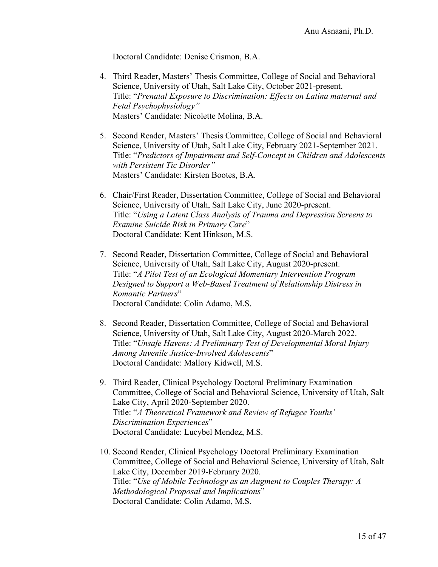Doctoral Candidate: Denise Crismon, B.A.

- 4. Third Reader, Masters' Thesis Committee, College of Social and Behavioral Science, University of Utah, Salt Lake City, October 2021-present. Title: "*Prenatal Exposure to Discrimination: Effects on Latina maternal and Fetal Psychophysiology"* Masters' Candidate: Nicolette Molina, B.A.
- 5. Second Reader, Masters' Thesis Committee, College of Social and Behavioral Science, University of Utah, Salt Lake City, February 2021-September 2021. Title: "*Predictors of Impairment and Self-Concept in Children and Adolescents with Persistent Tic Disorder"* Masters' Candidate: Kirsten Bootes, B.A.
- 6. Chair/First Reader, Dissertation Committee, College of Social and Behavioral Science, University of Utah, Salt Lake City, June 2020-present. Title: "*Using a Latent Class Analysis of Trauma and Depression Screens to Examine Suicide Risk in Primary Care*" Doctoral Candidate: Kent Hinkson, M.S.
- 7. Second Reader, Dissertation Committee, College of Social and Behavioral Science, University of Utah, Salt Lake City, August 2020-present. Title: "*A Pilot Test of an Ecological Momentary Intervention Program Designed to Support a Web-Based Treatment of Relationship Distress in Romantic Partners*" Doctoral Candidate: Colin Adamo, M.S.
- 8. Second Reader, Dissertation Committee, College of Social and Behavioral Science, University of Utah, Salt Lake City, August 2020-March 2022. Title: "*Unsafe Havens: A Preliminary Test of Developmental Moral Injury Among Juvenile Justice-Involved Adolescents*" Doctoral Candidate: Mallory Kidwell, M.S.
- 9. Third Reader, Clinical Psychology Doctoral Preliminary Examination Committee, College of Social and Behavioral Science, University of Utah, Salt Lake City, April 2020-September 2020. Title: "*A Theoretical Framework and Review of Refugee Youths' Discrimination Experiences*" Doctoral Candidate: Lucybel Mendez, M.S.
- 10. Second Reader, Clinical Psychology Doctoral Preliminary Examination Committee, College of Social and Behavioral Science, University of Utah, Salt Lake City, December 2019-February 2020. Title: "*Use of Mobile Technology as an Augment to Couples Therapy: A Methodological Proposal and Implications*" Doctoral Candidate: Colin Adamo, M.S.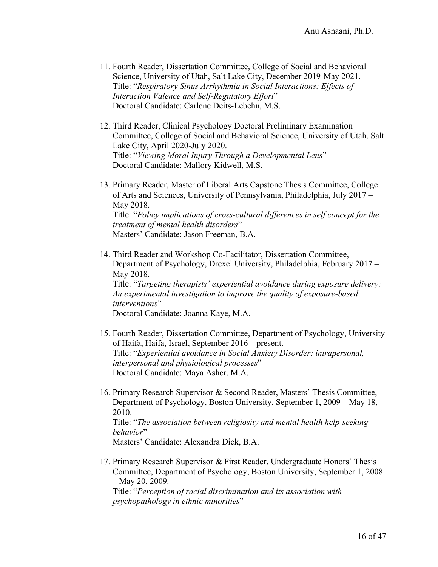- 11. Fourth Reader, Dissertation Committee, College of Social and Behavioral Science, University of Utah, Salt Lake City, December 2019-May 2021. Title: "*Respiratory Sinus Arrhythmia in Social Interactions: Effects of Interaction Valence and Self-Regulatory Effort*" Doctoral Candidate: Carlene Deits-Lebehn, M.S.
- 12. Third Reader, Clinical Psychology Doctoral Preliminary Examination Committee, College of Social and Behavioral Science, University of Utah, Salt Lake City, April 2020-July 2020. Title: "*Viewing Moral Injury Through a Developmental Lens*" Doctoral Candidate: Mallory Kidwell, M.S.
- 13. Primary Reader, Master of Liberal Arts Capstone Thesis Committee, College of Arts and Sciences, University of Pennsylvania, Philadelphia, July 2017 – May 2018. Title: "*Policy implications of cross-cultural differences in self concept for the treatment of mental health disorders*" Masters' Candidate: Jason Freeman, B.A.
- 14. Third Reader and Workshop Co-Facilitator, Dissertation Committee, Department of Psychology, Drexel University, Philadelphia, February 2017 – May 2018. Title: "*Targeting therapists' experiential avoidance during exposure delivery: An experimental investigation to improve the quality of exposure-based interventions*" Doctoral Candidate: Joanna Kaye, M.A.
- 15. Fourth Reader, Dissertation Committee, Department of Psychology, University of Haifa, Haifa, Israel, September 2016 – present. Title: "*Experiential avoidance in Social Anxiety Disorder: intrapersonal, interpersonal and physiological processes*" Doctoral Candidate: Maya Asher, M.A.
- 16. Primary Research Supervisor & Second Reader, Masters' Thesis Committee, Department of Psychology, Boston University, September 1, 2009 – May 18, 2010. Title: "*The association between religiosity and mental health help-seeking behavior*"

Masters' Candidate: Alexandra Dick, B.A.

17. Primary Research Supervisor & First Reader, Undergraduate Honors' Thesis Committee, Department of Psychology, Boston University, September 1, 2008 – May 20, 2009.

Title: "*Perception of racial discrimination and its association with psychopathology in ethnic minorities*"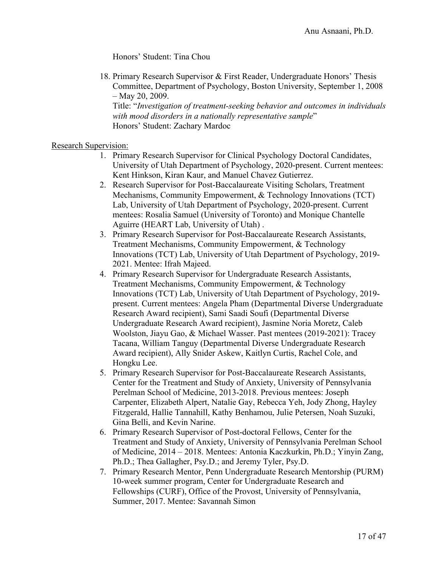Honors' Student: Tina Chou

18. Primary Research Supervisor & First Reader, Undergraduate Honors' Thesis Committee, Department of Psychology, Boston University, September 1, 2008 – May 20, 2009.

Title: "*Investigation of treatment-seeking behavior and outcomes in individuals with mood disorders in a nationally representative sample*" Honors' Student: Zachary Mardoc

### Research Supervision:

- 1. Primary Research Supervisor for Clinical Psychology Doctoral Candidates, University of Utah Department of Psychology, 2020-present. Current mentees: Kent Hinkson, Kiran Kaur, and Manuel Chavez Gutierrez.
- 2. Research Supervisor for Post-Baccalaureate Visiting Scholars, Treatment Mechanisms, Community Empowerment, & Technology Innovations (TCT) Lab, University of Utah Department of Psychology, 2020-present. Current mentees: Rosalia Samuel (University of Toronto) and Monique Chantelle Aguirre (HEART Lab, University of Utah) .
- 3. Primary Research Supervisor for Post-Baccalaureate Research Assistants, Treatment Mechanisms, Community Empowerment, & Technology Innovations (TCT) Lab, University of Utah Department of Psychology, 2019- 2021. Mentee: Ifrah Majeed.
- 4. Primary Research Supervisor for Undergraduate Research Assistants, Treatment Mechanisms, Community Empowerment, & Technology Innovations (TCT) Lab, University of Utah Department of Psychology, 2019 present. Current mentees: Angela Pham (Departmental Diverse Undergraduate Research Award recipient), Sami Saadi Soufi (Departmental Diverse Undergraduate Research Award recipient), Jasmine Noria Moretz, Caleb Woolston, Jiayu Gao, & Michael Wasser. Past mentees (2019-2021): Tracey Tacana, William Tanguy (Departmental Diverse Undergraduate Research Award recipient), Ally Snider Askew, Kaitlyn Curtis, Rachel Cole, and Hongku Lee.
- 5. Primary Research Supervisor for Post-Baccalaureate Research Assistants, Center for the Treatment and Study of Anxiety, University of Pennsylvania Perelman School of Medicine, 2013-2018. Previous mentees: Joseph Carpenter, Elizabeth Alpert, Natalie Gay, Rebecca Yeh, Jody Zhong, Hayley Fitzgerald, Hallie Tannahill, Kathy Benhamou, Julie Petersen, Noah Suzuki, Gina Belli, and Kevin Narine.
- 6. Primary Research Supervisor of Post-doctoral Fellows, Center for the Treatment and Study of Anxiety, University of Pennsylvania Perelman School of Medicine, 2014 – 2018. Mentees: Antonia Kaczkurkin, Ph.D.; Yinyin Zang, Ph.D.; Thea Gallagher, Psy.D.; and Jeremy Tyler, Psy.D.
- 7. Primary Research Mentor, Penn Undergraduate Research Mentorship (PURM) 10-week summer program, Center for Undergraduate Research and Fellowships (CURF), Office of the Provost, University of Pennsylvania, Summer, 2017. Mentee: Savannah Simon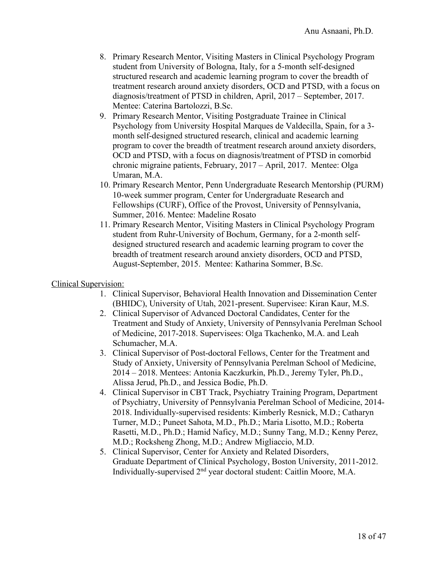- 8. Primary Research Mentor, Visiting Masters in Clinical Psychology Program student from University of Bologna, Italy, for a 5-month self-designed structured research and academic learning program to cover the breadth of treatment research around anxiety disorders, OCD and PTSD, with a focus on diagnosis/treatment of PTSD in children, April, 2017 – September, 2017. Mentee: Caterina Bartolozzi, B.Sc.
- 9. Primary Research Mentor, Visiting Postgraduate Trainee in Clinical Psychology from University Hospital Marques de Valdecilla, Spain, for a 3 month self-designed structured research, clinical and academic learning program to cover the breadth of treatment research around anxiety disorders, OCD and PTSD, with a focus on diagnosis/treatment of PTSD in comorbid chronic migraine patients, February, 2017 – April, 2017. Mentee: Olga Umaran, M.A.
- 10. Primary Research Mentor, Penn Undergraduate Research Mentorship (PURM) 10-week summer program, Center for Undergraduate Research and Fellowships (CURF), Office of the Provost, University of Pennsylvania, Summer, 2016. Mentee: Madeline Rosato
- 11. Primary Research Mentor, Visiting Masters in Clinical Psychology Program student from Ruhr-University of Bochum, Germany, for a 2-month selfdesigned structured research and academic learning program to cover the breadth of treatment research around anxiety disorders, OCD and PTSD, August-September, 2015. Mentee: Katharina Sommer, B.Sc.

### Clinical Supervision:

- 1. Clinical Supervisor, Behavioral Health Innovation and Dissemination Center (BHIDC), University of Utah, 2021-present. Supervisee: Kiran Kaur, M.S.
- 2. Clinical Supervisor of Advanced Doctoral Candidates, Center for the Treatment and Study of Anxiety, University of Pennsylvania Perelman School of Medicine, 2017-2018. Supervisees: Olga Tkachenko, M.A. and Leah Schumacher, M.A.
- 3. Clinical Supervisor of Post-doctoral Fellows, Center for the Treatment and Study of Anxiety, University of Pennsylvania Perelman School of Medicine, 2014 – 2018. Mentees: Antonia Kaczkurkin, Ph.D., Jeremy Tyler, Ph.D., Alissa Jerud, Ph.D., and Jessica Bodie, Ph.D.
- 4. Clinical Supervisor in CBT Track, Psychiatry Training Program, Department of Psychiatry, University of Pennsylvania Perelman School of Medicine, 2014- 2018. Individually-supervised residents: Kimberly Resnick, M.D.; Catharyn Turner, M.D.; Puneet Sahota, M.D., Ph.D.; Maria Lisotto, M.D.; Roberta Rasetti, M.D., Ph.D.; Hamid Naficy, M.D.; Sunny Tang, M.D.; Kenny Perez, M.D.; Rocksheng Zhong, M.D.; Andrew Migliaccio, M.D.
- 5. Clinical Supervisor, Center for Anxiety and Related Disorders, Graduate Department of Clinical Psychology, Boston University, 2011-2012. Individually-supervised 2nd year doctoral student: Caitlin Moore, M.A.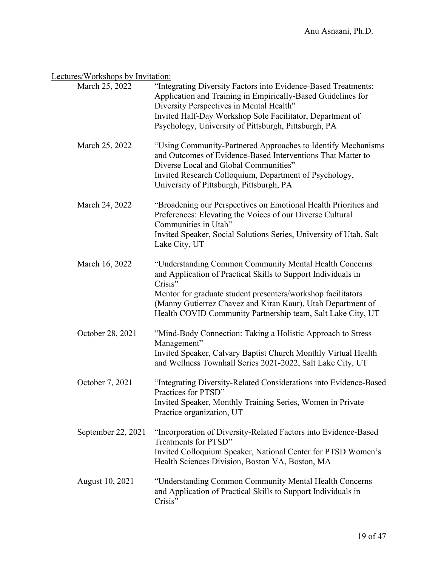# Lectures/Workshops by Invitation:

| March 25, 2022     | "Integrating Diversity Factors into Evidence-Based Treatments:<br>Application and Training in Empirically-Based Guidelines for<br>Diversity Perspectives in Mental Health"<br>Invited Half-Day Workshop Sole Facilitator, Department of<br>Psychology, University of Pittsburgh, Pittsburgh, PA                                  |
|--------------------|----------------------------------------------------------------------------------------------------------------------------------------------------------------------------------------------------------------------------------------------------------------------------------------------------------------------------------|
| March 25, 2022     | "Using Community-Partnered Approaches to Identify Mechanisms<br>and Outcomes of Evidence-Based Interventions That Matter to<br>Diverse Local and Global Communities"<br>Invited Research Colloquium, Department of Psychology,<br>University of Pittsburgh, Pittsburgh, PA                                                       |
| March 24, 2022     | "Broadening our Perspectives on Emotional Health Priorities and<br>Preferences: Elevating the Voices of our Diverse Cultural<br>Communities in Utah"<br>Invited Speaker, Social Solutions Series, University of Utah, Salt<br>Lake City, UT                                                                                      |
| March 16, 2022     | "Understanding Common Community Mental Health Concerns<br>and Application of Practical Skills to Support Individuals in<br>Crisis"<br>Mentor for graduate student presenters/workshop facilitators<br>(Manny Gutierrez Chavez and Kiran Kaur), Utah Department of<br>Health COVID Community Partnership team, Salt Lake City, UT |
| October 28, 2021   | "Mind-Body Connection: Taking a Holistic Approach to Stress<br>Management"<br>Invited Speaker, Calvary Baptist Church Monthly Virtual Health<br>and Wellness Townhall Series 2021-2022, Salt Lake City, UT                                                                                                                       |
| October 7, 2021    | "Integrating Diversity-Related Considerations into Evidence-Based<br>Practices for PTSD"<br>Invited Speaker, Monthly Training Series, Women in Private<br>Practice organization, UT                                                                                                                                              |
| September 22, 2021 | "Incorporation of Diversity-Related Factors into Evidence-Based<br>Treatments for PTSD"<br>Invited Colloquium Speaker, National Center for PTSD Women's<br>Health Sciences Division, Boston VA, Boston, MA                                                                                                                       |
| August 10, 2021    | "Understanding Common Community Mental Health Concerns<br>and Application of Practical Skills to Support Individuals in<br>Crisis"                                                                                                                                                                                               |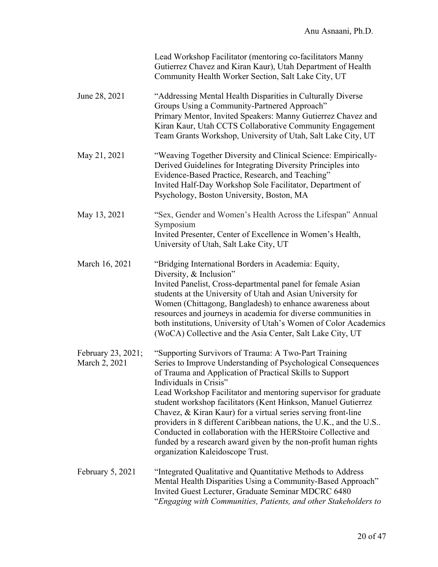|                                     | Lead Workshop Facilitator (mentoring co-facilitators Manny<br>Gutierrez Chavez and Kiran Kaur), Utah Department of Health<br>Community Health Worker Section, Salt Lake City, UT                                                                                                                                                                                                                                                                                                                                                                                                                                                                             |
|-------------------------------------|--------------------------------------------------------------------------------------------------------------------------------------------------------------------------------------------------------------------------------------------------------------------------------------------------------------------------------------------------------------------------------------------------------------------------------------------------------------------------------------------------------------------------------------------------------------------------------------------------------------------------------------------------------------|
| June 28, 2021                       | "Addressing Mental Health Disparities in Culturally Diverse<br>Groups Using a Community-Partnered Approach"<br>Primary Mentor, Invited Speakers: Manny Gutierrez Chavez and<br>Kiran Kaur, Utah CCTS Collaborative Community Engagement<br>Team Grants Workshop, University of Utah, Salt Lake City, UT                                                                                                                                                                                                                                                                                                                                                      |
| May 21, 2021                        | "Weaving Together Diversity and Clinical Science: Empirically-<br>Derived Guidelines for Integrating Diversity Principles into<br>Evidence-Based Practice, Research, and Teaching"<br>Invited Half-Day Workshop Sole Facilitator, Department of<br>Psychology, Boston University, Boston, MA                                                                                                                                                                                                                                                                                                                                                                 |
| May 13, 2021                        | "Sex, Gender and Women's Health Across the Lifespan" Annual<br>Symposium<br>Invited Presenter, Center of Excellence in Women's Health,<br>University of Utah, Salt Lake City, UT                                                                                                                                                                                                                                                                                                                                                                                                                                                                             |
| March 16, 2021                      | "Bridging International Borders in Academia: Equity,<br>Diversity, & Inclusion"<br>Invited Panelist, Cross-departmental panel for female Asian<br>students at the University of Utah and Asian University for<br>Women (Chittagong, Bangladesh) to enhance awareness about<br>resources and journeys in academia for diverse communities in<br>both institutions, University of Utah's Women of Color Academics<br>(WoCA) Collective and the Asia Center, Salt Lake City, UT                                                                                                                                                                                 |
| February 23, 2021;<br>March 2, 2021 | "Supporting Survivors of Trauma: A Two-Part Training<br>Series to Improve Understanding of Psychological Consequences<br>of Trauma and Application of Practical Skills to Support<br>Individuals in Crisis"<br>Lead Workshop Facilitator and mentoring supervisor for graduate<br>student workshop facilitators (Kent Hinkson, Manuel Gutierrez<br>Chavez, & Kiran Kaur) for a virtual series serving front-line<br>providers in 8 different Caribbean nations, the U.K., and the U.S<br>Conducted in collaboration with the HERStoire Collective and<br>funded by a research award given by the non-profit human rights<br>organization Kaleidoscope Trust. |
| February 5, 2021                    | "Integrated Qualitative and Quantitative Methods to Address<br>Mental Health Disparities Using a Community-Based Approach"<br>Invited Guest Lecturer, Graduate Seminar MDCRC 6480<br>"Engaging with Communities, Patients, and other Stakeholders to                                                                                                                                                                                                                                                                                                                                                                                                         |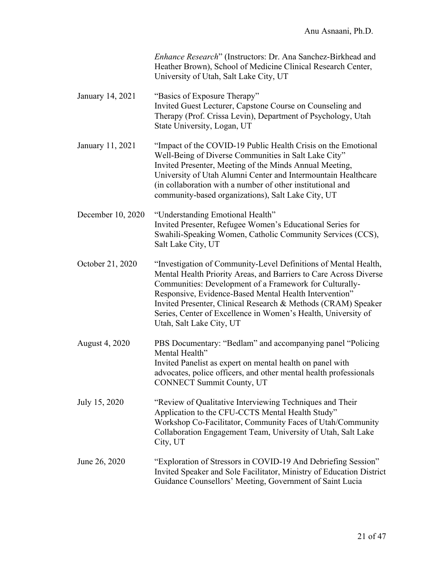|                   | Enhance Research" (Instructors: Dr. Ana Sanchez-Birkhead and<br>Heather Brown), School of Medicine Clinical Research Center,<br>University of Utah, Salt Lake City, UT                                                                                                                                                                                                                                                  |
|-------------------|-------------------------------------------------------------------------------------------------------------------------------------------------------------------------------------------------------------------------------------------------------------------------------------------------------------------------------------------------------------------------------------------------------------------------|
| January 14, 2021  | "Basics of Exposure Therapy"<br>Invited Guest Lecturer, Capstone Course on Counseling and<br>Therapy (Prof. Crissa Levin), Department of Psychology, Utah<br>State University, Logan, UT                                                                                                                                                                                                                                |
| January 11, 2021  | "Impact of the COVID-19 Public Health Crisis on the Emotional<br>Well-Being of Diverse Communities in Salt Lake City"<br>Invited Presenter, Meeting of the Minds Annual Meeting,<br>University of Utah Alumni Center and Intermountain Healthcare<br>(in collaboration with a number of other institutional and<br>community-based organizations), Salt Lake City, UT                                                   |
| December 10, 2020 | "Understanding Emotional Health"<br>Invited Presenter, Refugee Women's Educational Series for<br>Swahili-Speaking Women, Catholic Community Services (CCS),<br>Salt Lake City, UT                                                                                                                                                                                                                                       |
| October 21, 2020  | "Investigation of Community-Level Definitions of Mental Health,<br>Mental Health Priority Areas, and Barriers to Care Across Diverse<br>Communities: Development of a Framework for Culturally-<br>Responsive, Evidence-Based Mental Health Intervention"<br>Invited Presenter, Clinical Research & Methods (CRAM) Speaker<br>Series, Center of Excellence in Women's Health, University of<br>Utah, Salt Lake City, UT |
| August 4, 2020    | PBS Documentary: "Bedlam" and accompanying panel "Policing<br>Mental Health"<br>Invited Panelist as expert on mental health on panel with<br>advocates, police officers, and other mental health professionals<br><b>CONNECT Summit County, UT</b>                                                                                                                                                                      |
| July 15, 2020     | "Review of Qualitative Interviewing Techniques and Their<br>Application to the CFU-CCTS Mental Health Study"<br>Workshop Co-Facilitator, Community Faces of Utah/Community<br>Collaboration Engagement Team, University of Utah, Salt Lake<br>City, UT                                                                                                                                                                  |
| June 26, 2020     | "Exploration of Stressors in COVID-19 And Debriefing Session"<br>Invited Speaker and Sole Facilitator, Ministry of Education District<br>Guidance Counsellors' Meeting, Government of Saint Lucia                                                                                                                                                                                                                       |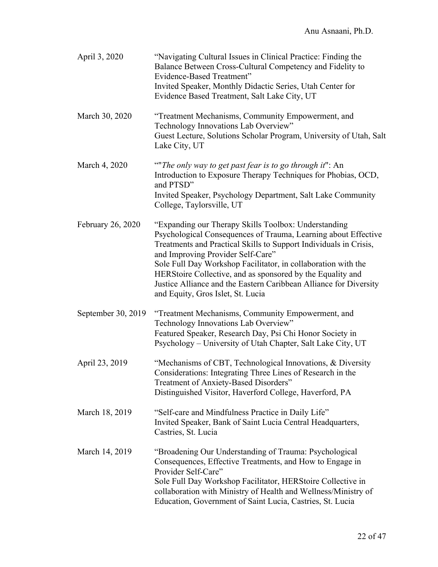| April 3, 2020      | "Navigating Cultural Issues in Clinical Practice: Finding the<br>Balance Between Cross-Cultural Competency and Fidelity to<br>Evidence-Based Treatment"<br>Invited Speaker, Monthly Didactic Series, Utah Center for<br>Evidence Based Treatment, Salt Lake City, UT                                                                                                                                                                                                      |
|--------------------|---------------------------------------------------------------------------------------------------------------------------------------------------------------------------------------------------------------------------------------------------------------------------------------------------------------------------------------------------------------------------------------------------------------------------------------------------------------------------|
| March 30, 2020     | "Treatment Mechanisms, Community Empowerment, and<br>Technology Innovations Lab Overview"<br>Guest Lecture, Solutions Scholar Program, University of Utah, Salt<br>Lake City, UT                                                                                                                                                                                                                                                                                          |
| March 4, 2020      | ""The only way to get past fear is to go through it": An<br>Introduction to Exposure Therapy Techniques for Phobias, OCD,<br>and PTSD"<br>Invited Speaker, Psychology Department, Salt Lake Community<br>College, Taylorsville, UT                                                                                                                                                                                                                                        |
| February 26, 2020  | "Expanding our Therapy Skills Toolbox: Understanding<br>Psychological Consequences of Trauma, Learning about Effective<br>Treatments and Practical Skills to Support Individuals in Crisis,<br>and Improving Provider Self-Care"<br>Sole Full Day Workshop Facilitator, in collaboration with the<br>HERStoire Collective, and as sponsored by the Equality and<br>Justice Alliance and the Eastern Caribbean Alliance for Diversity<br>and Equity, Gros Islet, St. Lucia |
| September 30, 2019 | "Treatment Mechanisms, Community Empowerment, and<br>Technology Innovations Lab Overview"<br>Featured Speaker, Research Day, Psi Chi Honor Society in<br>Psychology - University of Utah Chapter, Salt Lake City, UT                                                                                                                                                                                                                                                      |
| April 23, 2019     | "Mechanisms of CBT, Technological Innovations, & Diversity<br>Considerations: Integrating Three Lines of Research in the<br>Treatment of Anxiety-Based Disorders"<br>Distinguished Visitor, Haverford College, Haverford, PA                                                                                                                                                                                                                                              |
| March 18, 2019     | "Self-care and Mindfulness Practice in Daily Life"<br>Invited Speaker, Bank of Saint Lucia Central Headquarters,<br>Castries, St. Lucia                                                                                                                                                                                                                                                                                                                                   |
| March 14, 2019     | "Broadening Our Understanding of Trauma: Psychological<br>Consequences, Effective Treatments, and How to Engage in<br>Provider Self-Care"<br>Sole Full Day Workshop Facilitator, HERStoire Collective in<br>collaboration with Ministry of Health and Wellness/Ministry of<br>Education, Government of Saint Lucia, Castries, St. Lucia                                                                                                                                   |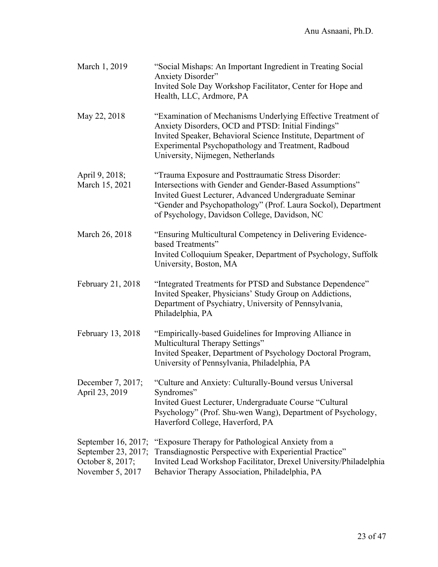| March 1, 2019                                                                      | "Social Mishaps: An Important Ingredient in Treating Social<br><b>Anxiety Disorder"</b><br>Invited Sole Day Workshop Facilitator, Center for Hope and<br>Health, LLC, Ardmore, PA                                                                                                          |
|------------------------------------------------------------------------------------|--------------------------------------------------------------------------------------------------------------------------------------------------------------------------------------------------------------------------------------------------------------------------------------------|
| May 22, 2018                                                                       | "Examination of Mechanisms Underlying Effective Treatment of<br>Anxiety Disorders, OCD and PTSD: Initial Findings"<br>Invited Speaker, Behavioral Science Institute, Department of<br>Experimental Psychopathology and Treatment, Radboud<br>University, Nijmegen, Netherlands             |
| April 9, 2018;<br>March 15, 2021                                                   | "Trauma Exposure and Posttraumatic Stress Disorder:<br>Intersections with Gender and Gender-Based Assumptions"<br>Invited Guest Lecturer, Advanced Undergraduate Seminar<br>"Gender and Psychopathology" (Prof. Laura Sockol), Department<br>of Psychology, Davidson College, Davidson, NC |
| March 26, 2018                                                                     | "Ensuring Multicultural Competency in Delivering Evidence-<br>based Treatments"<br>Invited Colloquium Speaker, Department of Psychology, Suffolk<br>University, Boston, MA                                                                                                                 |
| February 21, 2018                                                                  | "Integrated Treatments for PTSD and Substance Dependence"<br>Invited Speaker, Physicians' Study Group on Addictions,<br>Department of Psychiatry, University of Pennsylvania,<br>Philadelphia, PA                                                                                          |
| February 13, 2018                                                                  | "Empirically-based Guidelines for Improving Alliance in<br>Multicultural Therapy Settings"<br>Invited Speaker, Department of Psychology Doctoral Program,<br>University of Pennsylvania, Philadelphia, PA                                                                                  |
| April 23, 2019                                                                     | December 7, 2017; "Culture and Anxiety: Culturally-Bound versus Universal<br>Syndromes"<br>Invited Guest Lecturer, Undergraduate Course "Cultural<br>Psychology" (Prof. Shu-wen Wang), Department of Psychology,<br>Haverford College, Haverford, PA                                       |
| September 16, 2017;<br>September 23, 2017;<br>October 8, 2017;<br>November 5, 2017 | "Exposure Therapy for Pathological Anxiety from a<br>Transdiagnostic Perspective with Experiential Practice"<br>Invited Lead Workshop Facilitator, Drexel University/Philadelphia<br>Behavior Therapy Association, Philadelphia, PA                                                        |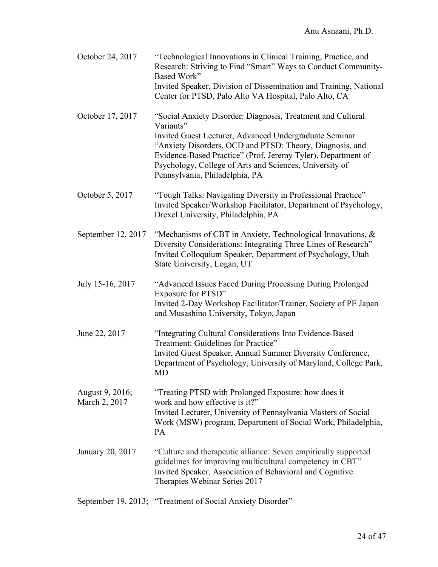| October 24, 2017                 | "Technological Innovations in Clinical Training, Practice, and<br>Research: Striving to Find "Smart" Ways to Conduct Community-<br>Based Work"<br>Invited Speaker, Division of Dissemination and Training, National<br>Center for PTSD, Palo Alto VA Hospital, Palo Alto, CA                                                                                |
|----------------------------------|-------------------------------------------------------------------------------------------------------------------------------------------------------------------------------------------------------------------------------------------------------------------------------------------------------------------------------------------------------------|
| October 17, 2017                 | "Social Anxiety Disorder: Diagnosis, Treatment and Cultural<br>Variants"<br>Invited Guest Lecturer, Advanced Undergraduate Seminar<br>"Anxiety Disorders, OCD and PTSD: Theory, Diagnosis, and<br>Evidence-Based Practice" (Prof. Jeremy Tyler), Department of<br>Psychology, College of Arts and Sciences, University of<br>Pennsylvania, Philadelphia, PA |
| October 5, 2017                  | "Tough Talks: Navigating Diversity in Professional Practice"<br>Invited Speaker/Workshop Facilitator, Department of Psychology,<br>Drexel University, Philadelphia, PA                                                                                                                                                                                      |
| September 12, 2017               | "Mechanisms of CBT in Anxiety, Technological Innovations, &<br>Diversity Considerations: Integrating Three Lines of Research"<br>Invited Colloquium Speaker, Department of Psychology, Utah<br>State University, Logan, UT                                                                                                                                  |
| July 15-16, 2017                 | "Advanced Issues Faced During Processing During Prolonged<br>Exposure for PTSD"<br>Invited 2-Day Workshop Facilitator/Trainer, Society of PE Japan<br>and Musashino University, Tokyo, Japan                                                                                                                                                                |
| June 22, 2017                    | "Integrating Cultural Considerations Into Evidence-Based<br>Treatment: Guidelines for Practice"<br>Invited Guest Speaker, Annual Summer Diversity Conference,<br>Department of Psychology, University of Maryland, College Park,<br>MD                                                                                                                      |
| August 9, 2016;<br>March 2, 2017 | "Treating PTSD with Prolonged Exposure: how does it<br>work and how effective is it?"<br>Invited Lecturer, University of Pennsylvania Masters of Social<br>Work (MSW) program, Department of Social Work, Philadelphia,<br>PA                                                                                                                               |
| January 20, 2017                 | "Culture and therapeutic alliance: Seven empirically supported<br>guidelines for improving multicultural competency in CBT"<br>Invited Speaker, Association of Behavioral and Cognitive<br>Therapies Webinar Series 2017                                                                                                                                    |
|                                  | September 19, 2013; "Treatment of Social Anxiety Disorder"                                                                                                                                                                                                                                                                                                  |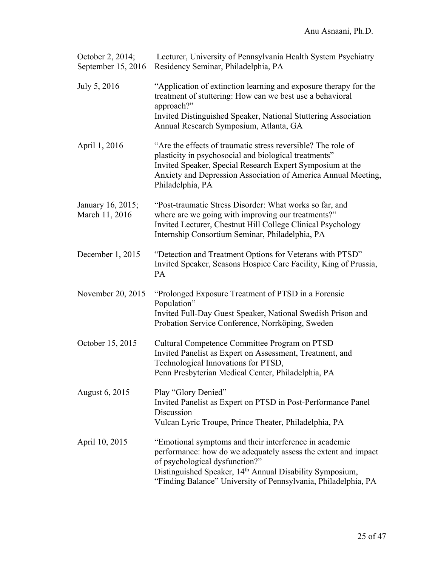| October 2, 2014;<br>September 15, 2016 | Lecturer, University of Pennsylvania Health System Psychiatry<br>Residency Seminar, Philadelphia, PA                                                                                                                                                                                     |
|----------------------------------------|------------------------------------------------------------------------------------------------------------------------------------------------------------------------------------------------------------------------------------------------------------------------------------------|
| July 5, 2016                           | "Application of extinction learning and exposure therapy for the<br>treatment of stuttering: How can we best use a behavioral<br>approach?"<br>Invited Distinguished Speaker, National Stuttering Association<br>Annual Research Symposium, Atlanta, GA                                  |
| April 1, 2016                          | "Are the effects of traumatic stress reversible? The role of<br>plasticity in psychosocial and biological treatments"<br>Invited Speaker, Special Research Expert Symposium at the<br>Anxiety and Depression Association of America Annual Meeting,<br>Philadelphia, PA                  |
| January 16, 2015;<br>March 11, 2016    | "Post-traumatic Stress Disorder: What works so far, and<br>where are we going with improving our treatments?"<br>Invited Lecturer, Chestnut Hill College Clinical Psychology<br>Internship Consortium Seminar, Philadelphia, PA                                                          |
| December 1, 2015                       | "Detection and Treatment Options for Veterans with PTSD"<br>Invited Speaker, Seasons Hospice Care Facility, King of Prussia,<br>PA                                                                                                                                                       |
| November 20, 2015                      | "Prolonged Exposure Treatment of PTSD in a Forensic<br>Population"<br>Invited Full-Day Guest Speaker, National Swedish Prison and<br>Probation Service Conference, Norrköping, Sweden                                                                                                    |
| October 15, 2015                       | Cultural Competence Committee Program on PTSD<br>Invited Panelist as Expert on Assessment, Treatment, and<br>Technological Innovations for PTSD,<br>Penn Presbyterian Medical Center, Philadelphia, PA                                                                                   |
| August 6, 2015                         | Play "Glory Denied"<br>Invited Panelist as Expert on PTSD in Post-Performance Panel<br>Discussion<br>Vulcan Lyric Troupe, Prince Theater, Philadelphia, PA                                                                                                                               |
| April 10, 2015                         | "Emotional symptoms and their interference in academic<br>performance: how do we adequately assess the extent and impact<br>of psychological dysfunction?"<br>Distinguished Speaker, 14th Annual Disability Symposium,<br>"Finding Balance" University of Pennsylvania, Philadelphia, PA |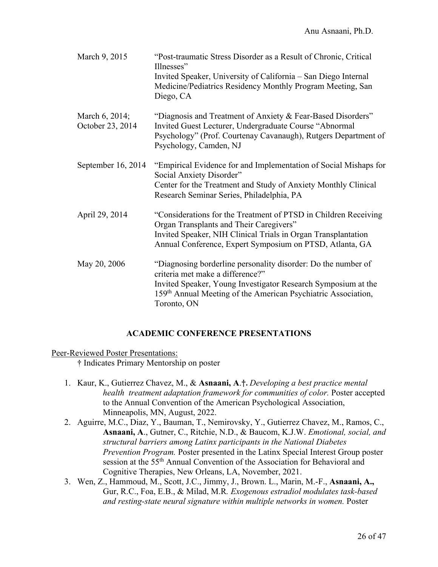| March 9, 2015                      | "Post-traumatic Stress Disorder as a Result of Chronic, Critical<br>Illnesses"<br>Invited Speaker, University of California – San Diego Internal<br>Medicine/Pediatrics Residency Monthly Program Meeting, San<br>Diego, CA                                    |
|------------------------------------|----------------------------------------------------------------------------------------------------------------------------------------------------------------------------------------------------------------------------------------------------------------|
| March 6, 2014;<br>October 23, 2014 | "Diagnosis and Treatment of Anxiety & Fear-Based Disorders"<br>Invited Guest Lecturer, Undergraduate Course "Abnormal<br>Psychology" (Prof. Courtenay Cavanaugh), Rutgers Department of<br>Psychology, Camden, NJ                                              |
| September 16, 2014                 | "Empirical Evidence for and Implementation of Social Mishaps for<br>Social Anxiety Disorder"<br>Center for the Treatment and Study of Anxiety Monthly Clinical<br>Research Seminar Series, Philadelphia, PA                                                    |
| April 29, 2014                     | "Considerations for the Treatment of PTSD in Children Receiving<br>Organ Transplants and Their Caregivers"<br>Invited Speaker, NIH Clinical Trials in Organ Transplantation<br>Annual Conference, Expert Symposium on PTSD, Atlanta, GA                        |
| May 20, 2006                       | "Diagnosing borderline personality disorder: Do the number of<br>criteria met make a difference?"<br>Invited Speaker, Young Investigator Research Symposium at the<br>159 <sup>th</sup> Annual Meeting of the American Psychiatric Association,<br>Toronto, ON |

### **ACADEMIC CONFERENCE PRESENTATIONS**

Peer-Reviewed Poster Presentations:

**†** Indicates Primary Mentorship on poster

- 1. Kaur, K., Gutierrez Chavez, M., & **Asnaani, A**.**†.** *Developing a best practice mental health treatment adaptation framework for communities of color.* Poster accepted to the Annual Convention of the American Psychological Association, Minneapolis, MN, August, 2022.
- 2. Aguirre, M.C., Diaz, Y., Bauman, T., Nemirovsky, Y., Gutierrez Chavez, M., Ramos, C., **Asnaani, A**., Gutner, C., Ritchie, N.D., & Baucom, K.J.W. *Emotional, social, and structural barriers among Latinx participants in the National Diabetes Prevention Program.* Poster presented in the Latinx Special Interest Group poster session at the 55<sup>th</sup> Annual Convention of the Association for Behavioral and Cognitive Therapies, New Orleans, LA, November, 2021.
- 3. Wen, Z., Hammoud, M., Scott, J.C., Jimmy, J., Brown. L., Marin, M.-F., **Asnaani, A.,** Gur, R.C., Foa, E.B., & Milad, M.R*. Exogenous estradiol modulates task-based and resting-state neural signature within multiple networks in women.* Poster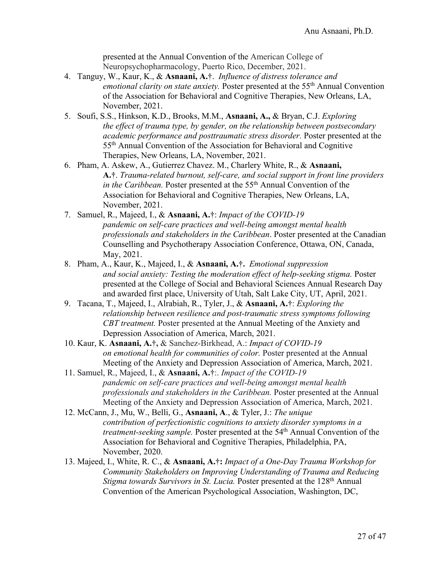presented at the Annual Convention of the American College of Neuropsychopharmacology, Puerto Rico, December, 2021.

- 4. Tanguy, W., Kaur, K., & **Asnaani, A.†**. *Influence of distress tolerance and emotional clarity on state anxiety.* Poster presented at the 55<sup>th</sup> Annual Convention of the Association for Behavioral and Cognitive Therapies, New Orleans, LA, November, 2021.
- 5. Soufi, S.S., Hinkson, K.D., Brooks, M.M., **Asnaani, A.,** & Bryan, C.J. *Exploring the effect of trauma type, by gender, on the relationship between postsecondary academic performance and posttraumatic stress disorder.* Poster presented at the 55th Annual Convention of the Association for Behavioral and Cognitive Therapies, New Orleans, LA, November, 2021.
- 6. Pham, A. Askew, A., Gutierrez Chavez. M., Charlery White, R., & **Asnaani, A.†**. *Trauma-related burnout, self-care, and social support in front line providers in the Caribbean.* Poster presented at the 55<sup>th</sup> Annual Convention of the Association for Behavioral and Cognitive Therapies, New Orleans, LA, November, 2021.
- 7. Samuel, R., Majeed, I., & **Asnaani, A.†**: *Impact of the COVID-19 pandemic on self-care practices and well-being amongst mental health professionals and stakeholders in the Caribbean*. Poster presented at the Canadian Counselling and Psychotherapy Association Conference, Ottawa, ON, Canada, May, 2021.
- 8. Pham, A., Kaur, K., Majeed, I., & **Asnaani, A.†.** *Emotional suppression and social anxiety: Testing the moderation effect of help-seeking stigma.* Poster presented at the College of Social and Behavioral Sciences Annual Research Day and awarded first place, University of Utah, Salt Lake City, UT, April, 2021.
- 9. Tacana, T., Majeed, I., Alrabiah, R., Tyler, J., & **Asnaani, A.†**: *Exploring the relationship between resilience and post-traumatic stress symptoms following CBT treatment.* Poster presented at the Annual Meeting of the Anxiety and Depression Association of America, March, 2021.
- 10. Kaur, K. **Asnaani, A.†,** & Sanchez-Birkhead, A.: *Impact of COVID-19 on emotional health for communities of color.* Poster presented at the Annual Meeting of the Anxiety and Depression Association of America, March, 2021.
- 11. Samuel, R., Majeed, I., & **Asnaani, A.†**:. *Impact of the COVID-19 pandemic on self-care practices and well-being amongst mental health professionals and stakeholders in the Caribbean.* Poster presented at the Annual Meeting of the Anxiety and Depression Association of America, March, 2021.
- 12. McCann, J., Mu, W., Belli, G., **Asnaani, A**., & Tyler, J.: *The unique contribution of perfectionistic cognitions to anxiety disorder symptoms in a treatment-seeking sample.* Poster presented at the 54<sup>th</sup> Annual Convention of the Association for Behavioral and Cognitive Therapies, Philadelphia, PA, November, 2020.
- 13. Majeed, I., White, R. C., & **Asnaani, A.†:** *Impact of a One-Day Trauma Workshop for Community Stakeholders on Improving Understanding of Trauma and Reducing Stigma towards Survivors in St. Lucia.* Poster presented at the 128th Annual Convention of the American Psychological Association, Washington, DC,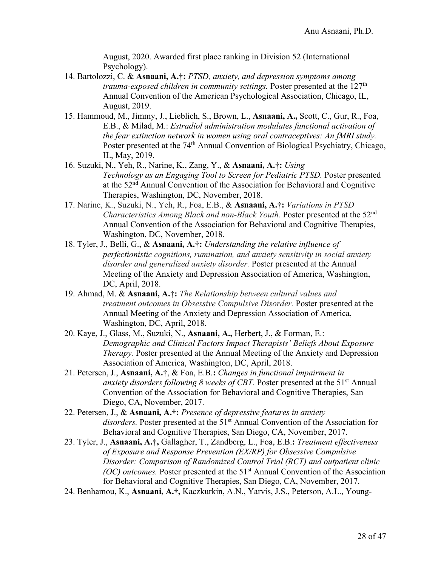August, 2020. Awarded first place ranking in Division 52 (International Psychology).

- 14. Bartolozzi, C. & **Asnaani, A.†:** *PTSD, anxiety, and depression symptoms among trauma-exposed children in community settings.* Poster presented at the 127<sup>th</sup> Annual Convention of the American Psychological Association, Chicago, IL, August, 2019.
- 15. Hammoud, M., Jimmy, J., Lieblich, S., Brown, L., **Asnaani, A.,** Scott, C., Gur, R., Foa, E.B., & Milad, M.: *Estradiol administration modulates functional activation of the fear extinction network in women using oral contraceptives: An fMRI study.*  Poster presented at the 74<sup>th</sup> Annual Convention of Biological Psychiatry, Chicago, IL, May, 2019.
- 16. Suzuki, N., Yeh, R., Narine, K., Zang, Y., & **Asnaani, A.†:** *Using Technology as an Engaging Tool to Screen for Pediatric PTSD.* Poster presented at the 52nd Annual Convention of the Association for Behavioral and Cognitive Therapies, Washington, DC, November, 2018.
- 17. Narine, K., Suzuki, N., Yeh, R., Foa, E.B., & **Asnaani, A.†:** *Variations in PTSD Characteristics Among Black and non-Black Youth.* Poster presented at the 52nd Annual Convention of the Association for Behavioral and Cognitive Therapies, Washington, DC, November, 2018.
- 18. Tyler, J., Belli, G., & **Asnaani, A.†:** *Understanding the relative influence of perfectionistic cognitions, rumination, and anxiety sensitivity in social anxiety disorder and generalized anxiety disorder.* Poster presented at the Annual Meeting of the Anxiety and Depression Association of America, Washington, DC, April, 2018.
- 19. Ahmad, M. & **Asnaani, A.†:** *The Relationship between cultural values and treatment outcomes in Obsessive Compulsive Disorder.* Poster presented at the Annual Meeting of the Anxiety and Depression Association of America, Washington, DC, April, 2018.
- 20. Kaye, J., Glass, M., Suzuki, N., **Asnaani, A.,** Herbert, J., & Forman, E.: *Demographic and Clinical Factors Impact Therapists' Beliefs About Exposure Therapy.* Poster presented at the Annual Meeting of the Anxiety and Depression Association of America, Washington, DC, April, 2018.
- 21. Petersen, J., **Asnaani, A.†**, & Foa, E.B.**:** *Changes in functional impairment in anxiety disorders following 8 weeks of CBT.* Poster presented at the 51<sup>st</sup> Annual Convention of the Association for Behavioral and Cognitive Therapies, San Diego, CA, November, 2017.
- 22. Petersen, J., & **Asnaani, A.†:** *Presence of depressive features in anxiety*  disorders. Poster presented at the 51<sup>st</sup> Annual Convention of the Association for Behavioral and Cognitive Therapies, San Diego, CA, November, 2017.
- 23. Tyler, J., **Asnaani, A.†,** Gallagher, T., Zandberg, L., Foa, E.B.**:** *Treatment effectiveness of Exposure and Response Prevention (EX/RP) for Obsessive Compulsive Disorder: Comparison of Randomized Control Trial (RCT) and outpatient clinic (OC) outcomes.* Poster presented at the 51<sup>st</sup> Annual Convention of the Association for Behavioral and Cognitive Therapies, San Diego, CA, November, 2017.
- 24. Benhamou, K., **Asnaani, A.†,** Kaczkurkin, A.N., Yarvis, J.S., Peterson, A.L., Young-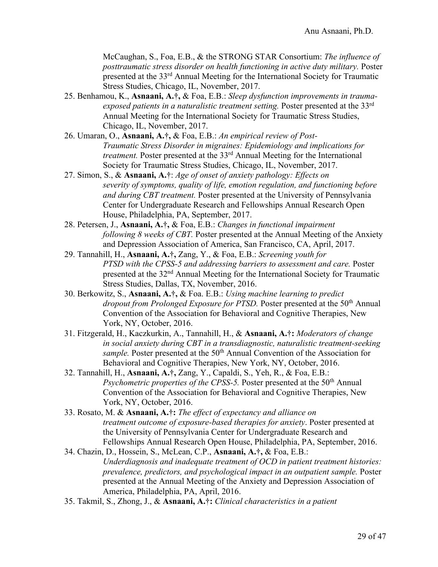McCaughan, S., Foa, E.B., & the STRONG STAR Consortium: *The influence of posttraumatic stress disorder on health functioning in active duty military.* Poster presented at the 33rd Annual Meeting for the International Society for Traumatic Stress Studies, Chicago, IL, November, 2017.

- 25. Benhamou, K., **Asnaani, A.†,** & Foa, E.B.: *Sleep dysfunction improvements in traumaexposed patients in a naturalistic treatment setting.* Poster presented at the 33rd Annual Meeting for the International Society for Traumatic Stress Studies, Chicago, IL, November, 2017.
- 26. Umaran, O., **Asnaani, A.†,** & Foa, E.B.: *An empirical review of Post-Traumatic Stress Disorder in migraines: Epidemiology and implications for treatment.* Poster presented at the 33rd Annual Meeting for the International Society for Traumatic Stress Studies, Chicago, IL, November, 2017.
- 27. Simon, S., & **Asnaani, A.†**: *Age of onset of anxiety pathology: Effects on severity of symptoms, quality of life, emotion regulation, and functioning before and during CBT treatment.* Poster presented at the University of Pennsylvania Center for Undergraduate Research and Fellowships Annual Research Open House, Philadelphia, PA, September, 2017.
- 28. Petersen, J., **Asnaani, A.†,** & Foa, E.B.: *Changes in functional impairment following 8 weeks of CBT.* Poster presented at the Annual Meeting of the Anxiety and Depression Association of America, San Francisco, CA, April, 2017.
- 29. Tannahill, H., **Asnaani, A.†,** Zang, Y., & Foa, E.B.: *Screening youth for PTSD with the CPSS-5 and addressing barriers to assessment and care.* Poster presented at the 32nd Annual Meeting for the International Society for Traumatic Stress Studies, Dallas, TX, November, 2016.
- 30. Berkowitz, S., **Asnaani, A.†,** & Foa. E.B.: *Using machine learning to predict dropout from Prolonged Exposure for PTSD*. Poster presented at the 50<sup>th</sup> Annual Convention of the Association for Behavioral and Cognitive Therapies, New York, NY, October, 2016.
- 31. Fitzgerald, H., Kaczkurkin, A., Tannahill, H., & **Asnaani, A.†:** *Moderators of change in social anxiety during CBT in a transdiagnostic, naturalistic treatment-seeking*  sample. Poster presented at the 50<sup>th</sup> Annual Convention of the Association for Behavioral and Cognitive Therapies, New York, NY, October, 2016.
- 32. Tannahill, H., **Asnaani, A.†,** Zang, Y., Capaldi, S., Yeh, R., & Foa, E.B.: *Psychometric properties of the CPSS-5.* Poster presented at the 50<sup>th</sup> Annual Convention of the Association for Behavioral and Cognitive Therapies, New York, NY, October, 2016.
- 33. Rosato, M. & **Asnaani, A.†:** *The effect of expectancy and alliance on treatment outcome of exposure-based therapies for anxiety*. Poster presented at the University of Pennsylvania Center for Undergraduate Research and Fellowships Annual Research Open House, Philadelphia, PA, September, 2016.
- 34. Chazin, D., Hossein, S., McLean, C.P., **Asnaani, A.†,** & Foa, E.B.: *Underdiagnosis and inadequate treatment of OCD in patient treatment histories: prevalence, predictors, and psychological impact in an outpatient sample.* Poster presented at the Annual Meeting of the Anxiety and Depression Association of America, Philadelphia, PA, April, 2016.
- 35. Takmil, S., Zhong, J., & **Asnaani, A.†:** *Clinical characteristics in a patient*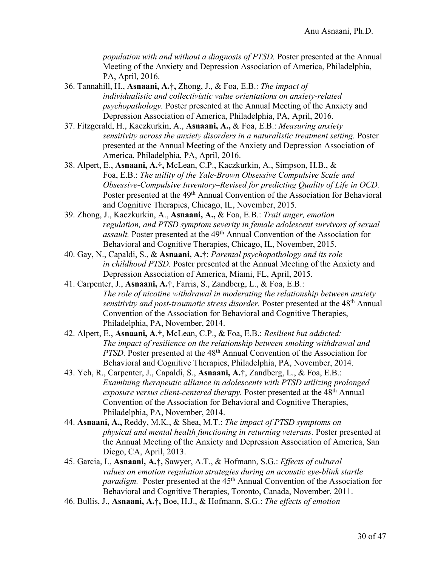*population with and without a diagnosis of PTSD.* Poster presented at the Annual Meeting of the Anxiety and Depression Association of America, Philadelphia, PA, April, 2016.

- 36. Tannahill, H., **Asnaani, A.†,** Zhong, J., & Foa, E.B.: *The impact of individualistic and collectivistic value orientations on anxiety-related psychopathology.* Poster presented at the Annual Meeting of the Anxiety and Depression Association of America, Philadelphia, PA, April, 2016.
- 37. Fitzgerald, H., Kaczkurkin, A., **Asnaani, A.,** & Foa, E.B.: *Measuring anxiety sensitivity across the anxiety disorders in a naturalistic treatment setting.* Poster presented at the Annual Meeting of the Anxiety and Depression Association of America, Philadelphia, PA, April, 2016.
- 38. Alpert, E., **Asnaani, A.†,** McLean, C.P., Kaczkurkin, A., Simpson, H.B., & Foa, E.B.: *The utility of the Yale-Brown Obsessive Compulsive Scale and Obsessive-Compulsive Inventory–Revised for predicting Quality of Life in OCD.*  Poster presented at the 49<sup>th</sup> Annual Convention of the Association for Behavioral and Cognitive Therapies, Chicago, IL, November, 2015.
- 39. Zhong, J., Kaczkurkin, A., **Asnaani, A.,** & Foa, E.B.: *Trait anger, emotion regulation, and PTSD symptom severity in female adolescent survivors of sexual assault.* Poster presented at the 49<sup>th</sup> Annual Convention of the Association for Behavioral and Cognitive Therapies, Chicago, IL, November, 2015.
- 40. Gay, N., Capaldi, S., & **Asnaani, A.†**: *Parental psychopathology and its role in childhood PTSD.* Poster presented at the Annual Meeting of the Anxiety and Depression Association of America, Miami, FL, April, 2015.
- 41. Carpenter, J., **Asnaani, A.†**, Farris, S., Zandberg, L., & Foa, E.B.: *The role of nicotine withdrawal in moderating the relationship between anxiety sensitivity and post-traumatic stress disorder.* Poster presented at the 48th Annual Convention of the Association for Behavioral and Cognitive Therapies, Philadelphia, PA, November, 2014.
- 42. Alpert, E., **Asnaani, A**.**†**, McLean, C.P., & Foa, E.B.: *Resilient but addicted: The impact of resilience on the relationship between smoking withdrawal and PTSD*. Poster presented at the 48<sup>th</sup> Annual Convention of the Association for Behavioral and Cognitive Therapies, Philadelphia, PA, November, 2014.
- 43. Yeh, R., Carpenter, J., Capaldi, S., **Asnaani, A.†**, Zandberg, L., & Foa, E.B.: *Examining therapeutic alliance in adolescents with PTSD utilizing prolonged exposure versus client-centered therapy.* Poster presented at the 48<sup>th</sup> Annual Convention of the Association for Behavioral and Cognitive Therapies, Philadelphia, PA, November, 2014.
- 44. **Asnaani, A.,** Reddy, M.K., & Shea, M.T.: *The impact of PTSD symptoms on physical and mental health functioning in returning veterans.* Poster presented at the Annual Meeting of the Anxiety and Depression Association of America, San Diego, CA, April, 2013.
- 45. Garcia, I., **Asnaani, A.†,** Sawyer, A.T., & Hofmann, S.G.: *Effects of cultural values on emotion regulation strategies during an acoustic eye-blink startle paradigm.* Poster presented at the 45<sup>th</sup> Annual Convention of the Association for Behavioral and Cognitive Therapies, Toronto, Canada, November, 2011.
- 46. Bullis, J., **Asnaani, A.†,** Boe, H.J., & Hofmann, S.G.: *The effects of emotion*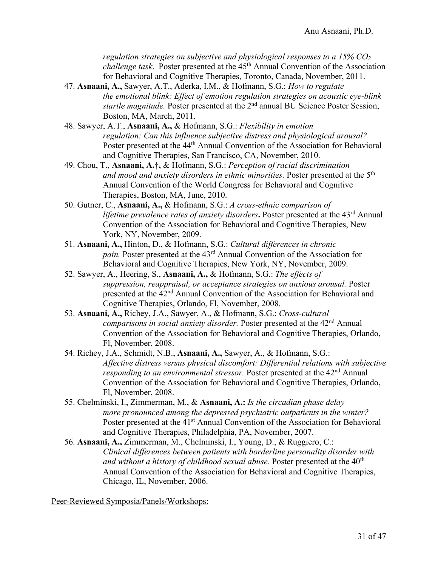*regulation strategies on subjective and physiological responses to a 15% CO2 challenge task.* Poster presented at the 45<sup>th</sup> Annual Convention of the Association for Behavioral and Cognitive Therapies, Toronto, Canada, November, 2011.

- 47. **Asnaani, A.,** Sawyer, A.T., Aderka, I.M., & Hofmann, S.G.: *How to regulate the emotional blink: Effect of emotion regulation strategies on acoustic eye-blink startle magnitude.* Poster presented at the 2nd annual BU Science Poster Session, Boston, MA, March, 2011.
- 48. Sawyer, A.T., **Asnaani, A.,** & Hofmann, S.G.: *Flexibility in emotion regulation: Can this influence subjective distress and physiological arousal?*  Poster presented at the 44<sup>th</sup> Annual Convention of the Association for Behavioral and Cognitive Therapies, San Francisco, CA, November, 2010.
- 49. Chou, T., **Asnaani, A.†,** & Hofmann, S.G.: *Perception of racial discrimination*  and mood and anxiety disorders in ethnic minorities. Poster presented at the 5<sup>th</sup> Annual Convention of the World Congress for Behavioral and Cognitive Therapies, Boston, MA, June, 2010.
- 50. Gutner, C., **Asnaani, A.,** & Hofmann, S.G.: *A cross-ethnic comparison of lifetime prevalence rates of anxiety disorders***.** Poster presented at the 43rd Annual Convention of the Association for Behavioral and Cognitive Therapies, New York, NY, November, 2009.
- 51. **Asnaani, A.,** Hinton, D., & Hofmann, S.G.: *Cultural differences in chronic pain.* Poster presented at the 43rd Annual Convention of the Association for Behavioral and Cognitive Therapies, New York, NY, November, 2009.
- 52. Sawyer, A., Heering, S., **Asnaani, A.,** & Hofmann, S.G.: *The effects of suppression, reappraisal, or acceptance strategies on anxious arousal.* Poster presented at the 42nd Annual Convention of the Association for Behavioral and Cognitive Therapies, Orlando, Fl, November, 2008.
- 53. **Asnaani, A.,** Richey, J.A., Sawyer, A., & Hofmann, S.G.: *Cross-cultural comparisons in social anxiety disorder.* Poster presented at the 42nd Annual Convention of the Association for Behavioral and Cognitive Therapies, Orlando, Fl, November, 2008.
- 54. Richey, J.A., Schmidt, N.B., **Asnaani, A.,** Sawyer, A., & Hofmann, S.G.: *Affective distress versus physical discomfort: Differential relations with subjective responding to an environmental stressor.* Poster presented at the 42<sup>nd</sup> Annual Convention of the Association for Behavioral and Cognitive Therapies, Orlando, Fl, November, 2008.
- 55. Chelminski, I., Zimmerman, M., & **Asnaani, A.:** *Is the circadian phase delay more pronounced among the depressed psychiatric outpatients in the winter?* Poster presented at the 41<sup>st</sup> Annual Convention of the Association for Behavioral and Cognitive Therapies, Philadelphia, PA, November, 2007.
- 56. **Asnaani, A.,** Zimmerman, M., Chelminski, I., Young, D., & Ruggiero, C.: *Clinical differences between patients with borderline personality disorder with*  and without a history of childhood sexual abuse. Poster presented at the 40<sup>th</sup> Annual Convention of the Association for Behavioral and Cognitive Therapies, Chicago, IL, November, 2006.

Peer-Reviewed Symposia/Panels/Workshops: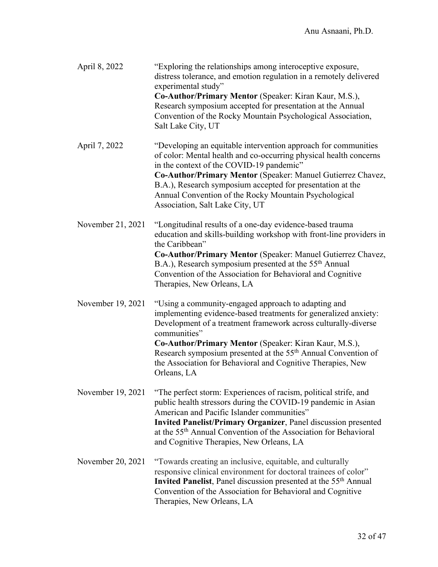| April 8, 2022     | "Exploring the relationships among interoceptive exposure,<br>distress tolerance, and emotion regulation in a remotely delivered<br>experimental study"<br>Co-Author/Primary Mentor (Speaker: Kiran Kaur, M.S.),<br>Research symposium accepted for presentation at the Annual<br>Convention of the Rocky Mountain Psychological Association,<br>Salt Lake City, UT                                                          |
|-------------------|------------------------------------------------------------------------------------------------------------------------------------------------------------------------------------------------------------------------------------------------------------------------------------------------------------------------------------------------------------------------------------------------------------------------------|
| April 7, 2022     | "Developing an equitable intervention approach for communities<br>of color: Mental health and co-occurring physical health concerns<br>in the context of the COVID-19 pandemic"<br>Co-Author/Primary Mentor (Speaker: Manuel Gutierrez Chavez,<br>B.A.), Research symposium accepted for presentation at the<br>Annual Convention of the Rocky Mountain Psychological<br>Association, Salt Lake City, UT                     |
| November 21, 2021 | "Longitudinal results of a one-day evidence-based trauma<br>education and skills-building workshop with front-line providers in<br>the Caribbean"<br>Co-Author/Primary Mentor (Speaker: Manuel Gutierrez Chavez,<br>B.A.), Research symposium presented at the 55 <sup>th</sup> Annual<br>Convention of the Association for Behavioral and Cognitive<br>Therapies, New Orleans, LA                                           |
| November 19, 2021 | "Using a community-engaged approach to adapting and<br>implementing evidence-based treatments for generalized anxiety:<br>Development of a treatment framework across culturally-diverse<br>communities"<br>Co-Author/Primary Mentor (Speaker: Kiran Kaur, M.S.),<br>Research symposium presented at the 55 <sup>th</sup> Annual Convention of<br>the Association for Behavioral and Cognitive Therapies, New<br>Orleans, LA |
| November 19, 2021 | "The perfect storm: Experiences of racism, political strife, and<br>public health stressors during the COVID-19 pandemic in Asian<br>American and Pacific Islander communities"<br><b>Invited Panelist/Primary Organizer</b> , Panel discussion presented<br>at the 55 <sup>th</sup> Annual Convention of the Association for Behavioral<br>and Cognitive Therapies, New Orleans, LA                                         |
| November 20, 2021 | "Towards creating an inclusive, equitable, and culturally<br>responsive clinical environment for doctoral trainees of color"<br><b>Invited Panelist</b> , Panel discussion presented at the 55 <sup>th</sup> Annual<br>Convention of the Association for Behavioral and Cognitive<br>Therapies, New Orleans, LA                                                                                                              |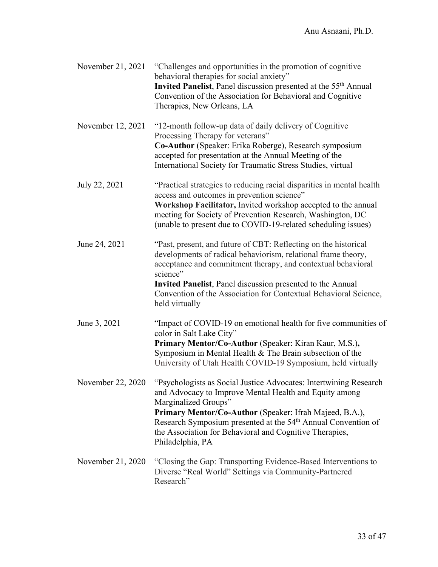| November 21, 2021 | "Challenges and opportunities in the promotion of cognitive<br>behavioral therapies for social anxiety"<br>Invited Panelist, Panel discussion presented at the 55 <sup>th</sup> Annual<br>Convention of the Association for Behavioral and Cognitive<br>Therapies, New Orleans, LA                                                                                         |
|-------------------|----------------------------------------------------------------------------------------------------------------------------------------------------------------------------------------------------------------------------------------------------------------------------------------------------------------------------------------------------------------------------|
| November 12, 2021 | "12-month follow-up data of daily delivery of Cognitive"<br>Processing Therapy for veterans"<br>Co-Author (Speaker: Erika Roberge), Research symposium<br>accepted for presentation at the Annual Meeting of the<br>International Society for Traumatic Stress Studies, virtual                                                                                            |
| July 22, 2021     | "Practical strategies to reducing racial disparities in mental health<br>access and outcomes in prevention science"<br>Workshop Facilitator, Invited workshop accepted to the annual<br>meeting for Society of Prevention Research, Washington, DC<br>(unable to present due to COVID-19-related scheduling issues)                                                        |
| June 24, 2021     | "Past, present, and future of CBT: Reflecting on the historical<br>developments of radical behaviorism, relational frame theory,<br>acceptance and commitment therapy, and contextual behavioral<br>science"<br>Invited Panelist, Panel discussion presented to the Annual<br>Convention of the Association for Contextual Behavioral Science,<br>held virtually           |
| June 3, 2021      | "Impact of COVID-19 on emotional health for five communities of<br>color in Salt Lake City"<br>Primary Mentor/Co-Author (Speaker: Kiran Kaur, M.S.),<br>Symposium in Mental Health $&$ The Brain subsection of the<br>University of Utah Health COVID-19 Symposium, held virtually                                                                                         |
| November 22, 2020 | "Psychologists as Social Justice Advocates: Intertwining Research<br>and Advocacy to Improve Mental Health and Equity among<br>Marginalized Groups"<br>Primary Mentor/Co-Author (Speaker: Ifrah Majeed, B.A.),<br>Research Symposium presented at the 54 <sup>th</sup> Annual Convention of<br>the Association for Behavioral and Cognitive Therapies,<br>Philadelphia, PA |
| November 21, 2020 | "Closing the Gap: Transporting Evidence-Based Interventions to<br>Diverse "Real World" Settings via Community-Partnered<br>Research"                                                                                                                                                                                                                                       |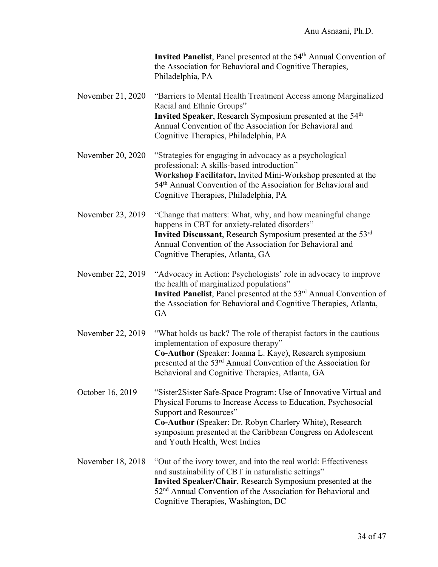| Invited Panelist, Panel presented at the 54 <sup>th</sup> Annual Convention of |
|--------------------------------------------------------------------------------|
| the Association for Behavioral and Cognitive Therapies,                        |
| Philadelphia, PA                                                               |

- November 21, 2020 "Barriers to Mental Health Treatment Access among Marginalized Racial and Ethnic Groups" **Invited Speaker**, Research Symposium presented at the 54<sup>th</sup> Annual Convention of the Association for Behavioral and Cognitive Therapies, Philadelphia, PA
- November 20, 2020 "Strategies for engaging in advocacy as a psychological professional: A skills-based introduction" **Workshop Facilitator,** Invited Mini-Workshop presented at the 54<sup>th</sup> Annual Convention of the Association for Behavioral and Cognitive Therapies, Philadelphia, PA
- November 23, 2019 "Change that matters: What, why, and how meaningful change happens in CBT for anxiety-related disorders" **Invited Discussant**, Research Symposium presented at the 53rd Annual Convention of the Association for Behavioral and Cognitive Therapies, Atlanta, GA
- November 22, 2019 "Advocacy in Action: Psychologists' role in advocacy to improve the health of marginalized populations" **Invited Panelist**, Panel presented at the 53<sup>rd</sup> Annual Convention of the Association for Behavioral and Cognitive Therapies, Atlanta, **GA**
- November 22, 2019 "What holds us back? The role of therapist factors in the cautious implementation of exposure therapy" **Co-Author** (Speaker: Joanna L. Kaye), Research symposium presented at the 53rd Annual Convention of the Association for Behavioral and Cognitive Therapies, Atlanta, GA
- October 16, 2019 "Sister2Sister Safe-Space Program: Use of Innovative Virtual and Physical Forums to Increase Access to Education, Psychosocial Support and Resources" **Co-Author** (Speaker: Dr. Robyn Charlery White), Research symposium presented at the Caribbean Congress on Adolescent and Youth Health, West Indies
- November 18, 2018 "Out of the ivory tower, and into the real world: Effectiveness and sustainability of CBT in naturalistic settings" **Invited Speaker/Chair**, Research Symposium presented at the 52nd Annual Convention of the Association for Behavioral and Cognitive Therapies, Washington, DC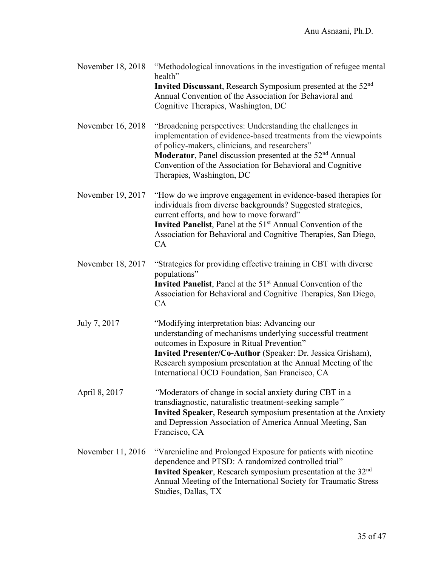| November 18, 2018 | "Methodological innovations in the investigation of refugee mental<br>health"<br>Invited Discussant, Research Symposium presented at the 52 <sup>nd</sup><br>Annual Convention of the Association for Behavioral and<br>Cognitive Therapies, Washington, DC                                                                                       |
|-------------------|---------------------------------------------------------------------------------------------------------------------------------------------------------------------------------------------------------------------------------------------------------------------------------------------------------------------------------------------------|
| November 16, 2018 | "Broadening perspectives: Understanding the challenges in<br>implementation of evidence-based treatments from the viewpoints<br>of policy-makers, clinicians, and researchers"<br>Moderator, Panel discussion presented at the 52 <sup>nd</sup> Annual<br>Convention of the Association for Behavioral and Cognitive<br>Therapies, Washington, DC |
| November 19, 2017 | "How do we improve engagement in evidence-based therapies for<br>individuals from diverse backgrounds? Suggested strategies,<br>current efforts, and how to move forward"<br>Invited Panelist, Panel at the 51 <sup>st</sup> Annual Convention of the<br>Association for Behavioral and Cognitive Therapies, San Diego,<br>CA                     |
| November 18, 2017 | "Strategies for providing effective training in CBT with diverse<br>populations"<br>Invited Panelist, Panel at the 51 <sup>st</sup> Annual Convention of the<br>Association for Behavioral and Cognitive Therapies, San Diego,<br>CA                                                                                                              |
| July 7, 2017      | "Modifying interpretation bias: Advancing our<br>understanding of mechanisms underlying successful treatment<br>outcomes in Exposure in Ritual Prevention"<br>Invited Presenter/Co-Author (Speaker: Dr. Jessica Grisham),<br>Research symposium presentation at the Annual Meeting of the<br>International OCD Foundation, San Francisco, CA      |
| April 8, 2017     | "Moderators of change in social anxiety during CBT in a<br>transdiagnostic, naturalistic treatment-seeking sample"<br>Invited Speaker, Research symposium presentation at the Anxiety<br>and Depression Association of America Annual Meeting, San<br>Francisco, CA                                                                               |
| November 11, 2016 | "Varenicline and Prolonged Exposure for patients with nicotine<br>dependence and PTSD: A randomized controlled trial"<br>Invited Speaker, Research symposium presentation at the 32 <sup>nd</sup><br>Annual Meeting of the International Society for Traumatic Stress<br>Studies, Dallas, TX                                                      |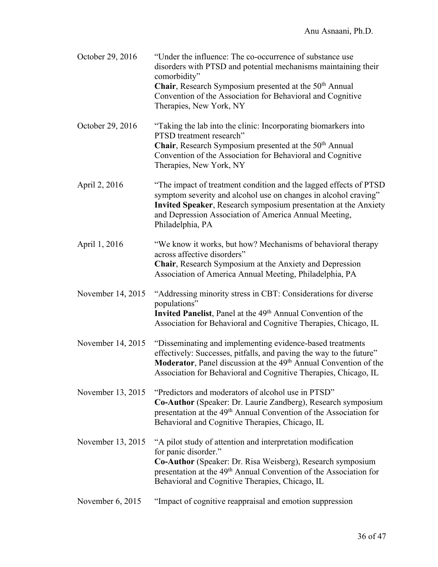| October 29, 2016   | "Under the influence: The co-occurrence of substance use<br>disorders with PTSD and potential mechanisms maintaining their<br>comorbidity"<br><b>Chair</b> , Research Symposium presented at the 50 <sup>th</sup> Annual<br>Convention of the Association for Behavioral and Cognitive<br>Therapies, New York, NY |
|--------------------|-------------------------------------------------------------------------------------------------------------------------------------------------------------------------------------------------------------------------------------------------------------------------------------------------------------------|
| October 29, 2016   | "Taking the lab into the clinic: Incorporating biomarkers into<br>PTSD treatment research"<br>Chair, Research Symposium presented at the 50 <sup>th</sup> Annual<br>Convention of the Association for Behavioral and Cognitive<br>Therapies, New York, NY                                                         |
| April 2, 2016      | "The impact of treatment condition and the lagged effects of PTSD<br>symptom severity and alcohol use on changes in alcohol craving"<br>Invited Speaker, Research symposium presentation at the Anxiety<br>and Depression Association of America Annual Meeting,<br>Philadelphia, PA                              |
| April 1, 2016      | "We know it works, but how? Mechanisms of behavioral therapy<br>across affective disorders"<br>Chair, Research Symposium at the Anxiety and Depression<br>Association of America Annual Meeting, Philadelphia, PA                                                                                                 |
| November 14, 2015  | "Addressing minority stress in CBT: Considerations for diverse<br>populations"<br>Invited Panelist, Panel at the 49 <sup>th</sup> Annual Convention of the<br>Association for Behavioral and Cognitive Therapies, Chicago, IL                                                                                     |
| November 14, 2015  | "Disseminating and implementing evidence-based treatments<br>effectively: Successes, pitfalls, and paving the way to the future"<br>Moderator, Panel discussion at the 49 <sup>th</sup> Annual Convention of the<br>Association for Behavioral and Cognitive Therapies, Chicago, IL                               |
| November 13, 2015  | "Predictors and moderators of alcohol use in PTSD"<br>Co-Author (Speaker: Dr. Laurie Zandberg), Research symposium<br>presentation at the 49 <sup>th</sup> Annual Convention of the Association for<br>Behavioral and Cognitive Therapies, Chicago, IL                                                            |
| November 13, 2015  | "A pilot study of attention and interpretation modification<br>for panic disorder."<br>Co-Author (Speaker: Dr. Risa Weisberg), Research symposium<br>presentation at the 49 <sup>th</sup> Annual Convention of the Association for<br>Behavioral and Cognitive Therapies, Chicago, IL                             |
| November $6, 2015$ | "Impact of cognitive reappraisal and emotion suppression                                                                                                                                                                                                                                                          |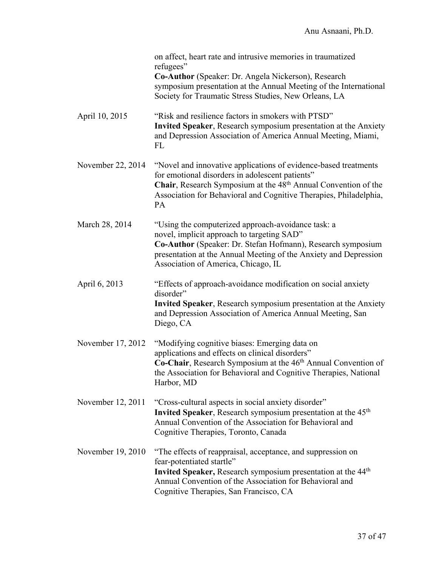|                   | on affect, heart rate and intrusive memories in traumatized<br>refugees"<br>Co-Author (Speaker: Dr. Angela Nickerson), Research<br>symposium presentation at the Annual Meeting of the International<br>Society for Traumatic Stress Studies, New Orleans, LA               |
|-------------------|-----------------------------------------------------------------------------------------------------------------------------------------------------------------------------------------------------------------------------------------------------------------------------|
| April 10, 2015    | "Risk and resilience factors in smokers with PTSD"<br>Invited Speaker, Research symposium presentation at the Anxiety<br>and Depression Association of America Annual Meeting, Miami,<br>FL                                                                                 |
| November 22, 2014 | "Novel and innovative applications of evidence-based treatments<br>for emotional disorders in adolescent patients"<br>Chair, Research Symposium at the 48 <sup>th</sup> Annual Convention of the<br>Association for Behavioral and Cognitive Therapies, Philadelphia,<br>PA |
| March 28, 2014    | "Using the computerized approach-avoidance task: a<br>novel, implicit approach to targeting SAD"<br>Co-Author (Speaker: Dr. Stefan Hofmann), Research symposium<br>presentation at the Annual Meeting of the Anxiety and Depression<br>Association of America, Chicago, IL  |
| April 6, 2013     | "Effects of approach-avoidance modification on social anxiety<br>disorder"<br>Invited Speaker, Research symposium presentation at the Anxiety<br>and Depression Association of America Annual Meeting, San<br>Diego, CA                                                     |
| November 17, 2012 | "Modifying cognitive biases: Emerging data on<br>applications and effects on clinical disorders"<br>Co-Chair, Research Symposium at the 46 <sup>th</sup> Annual Convention of<br>the Association for Behavioral and Cognitive Therapies, National<br>Harbor, MD             |
| November 12, 2011 | "Cross-cultural aspects in social anxiety disorder"<br>Invited Speaker, Research symposium presentation at the 45 <sup>th</sup><br>Annual Convention of the Association for Behavioral and<br>Cognitive Therapies, Toronto, Canada                                          |
| November 19, 2010 | "The effects of reappraisal, acceptance, and suppression on<br>fear-potentiated startle"<br><b>Invited Speaker, Research symposium presentation at the 44th</b><br>Annual Convention of the Association for Behavioral and<br>Cognitive Therapies, San Francisco, CA        |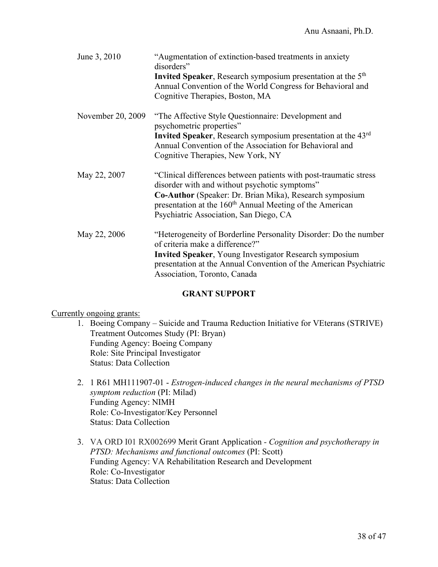| June 3, 2010      | "Augmentation of extinction-based treatments in anxiety<br>disorders"<br><b>Invited Speaker, Research symposium presentation at the 5th</b><br>Annual Convention of the World Congress for Behavioral and<br>Cognitive Therapies, Boston, MA                                                    |
|-------------------|-------------------------------------------------------------------------------------------------------------------------------------------------------------------------------------------------------------------------------------------------------------------------------------------------|
| November 20, 2009 | "The Affective Style Questionnaire: Development and<br>psychometric properties"<br><b>Invited Speaker, Research symposium presentation at the 43rd</b><br>Annual Convention of the Association for Behavioral and<br>Cognitive Therapies, New York, NY                                          |
| May 22, 2007      | "Clinical differences between patients with post-traumatic stress<br>disorder with and without psychotic symptoms"<br>Co-Author (Speaker: Dr. Brian Mika), Research symposium<br>presentation at the 160 <sup>th</sup> Annual Meeting of the American<br>Psychiatric Association, San Diego, CA |
| May 22, 2006      | "Heterogeneity of Borderline Personality Disorder: Do the number<br>of criteria make a difference?"<br><b>Invited Speaker, Young Investigator Research symposium</b><br>presentation at the Annual Convention of the American Psychiatric<br>Association, Toronto, Canada                       |

### **GRANT SUPPORT**

### Currently ongoing grants:

- 1. Boeing Company Suicide and Trauma Reduction Initiative for VEterans (STRIVE) Treatment Outcomes Study (PI: Bryan) Funding Agency: Boeing Company Role: Site Principal Investigator Status: Data Collection
- 2. 1 R61 MH111907-01 *Estrogen-induced changes in the neural mechanisms of PTSD symptom reduction* (PI: Milad) Funding Agency: NIMH Role: Co-Investigator/Key Personnel Status: Data Collection
- 3. VA ORD I01 RX002699 Merit Grant Application *- Cognition and psychotherapy in PTSD: Mechanisms and functional outcomes* (PI: Scott) Funding Agency: VA Rehabilitation Research and Development Role: Co-Investigator Status: Data Collection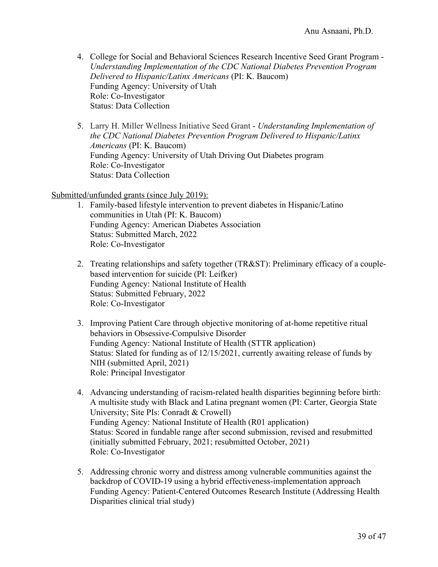- 4. College for Social and Behavioral Sciences Research Incentive Seed Grant Program *Understanding Implementation of the CDC National Diabetes Prevention Program Delivered to Hispanic/Latinx Americans* (PI: K. Baucom) Funding Agency: University of Utah Role: Co-Investigator Status: Data Collection
- 5. Larry H. Miller Wellness Initiative Seed Grant *Understanding Implementation of the CDC National Diabetes Prevention Program Delivered to Hispanic/Latinx Americans* (PI: K. Baucom) Funding Agency: University of Utah Driving Out Diabetes program Role: Co-Investigator Status: Data Collection

### Submitted/unfunded grants (since July 2019):

- 1. Family-based lifestyle intervention to prevent diabetes in Hispanic/Latino communities in Utah (PI: K. Baucom) Funding Agency: American Diabetes Association Status: Submitted March, 2022 Role: Co-Investigator
- 2. Treating relationships and safety together (TR&ST): Preliminary efficacy of a couplebased intervention for suicide (PI: Leifker) Funding Agency: National Institute of Health Status: Submitted February, 2022 Role: Co-Investigator
- 3. Improving Patient Care through objective monitoring of at-home repetitive ritual behaviors in Obsessive-Compulsive Disorder Funding Agency: National Institute of Health (STTR application) Status: Slated for funding as of 12/15/2021, currently awaiting release of funds by NIH (submitted April, 2021) Role: Principal Investigator
- 4. Advancing understanding of racism-related health disparities beginning before birth: A multisite study with Black and Latina pregnant women (PI: Carter, Georgia State University; Site PIs: Conradt & Crowell) Funding Agency: National Institute of Health (R01 application) Status: Scored in fundable range after second submission, revised and resubmitted (initially submitted February, 2021; resubmitted October, 2021) Role: Co-Investigator
- 5. Addressing chronic worry and distress among vulnerable communities against the backdrop of COVID-19 using a hybrid effectiveness-implementation approach Funding Agency: Patient-Centered Outcomes Research Institute (Addressing Health Disparities clinical trial study)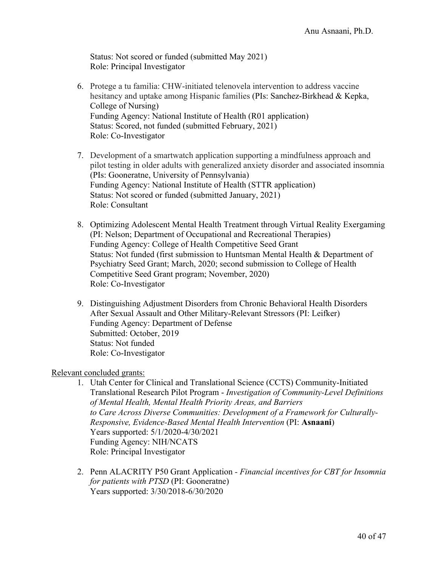Status: Not scored or funded (submitted May 2021) Role: Principal Investigator

- 6. Protege a tu familia: CHW-initiated telenovela intervention to address vaccine hesitancy and uptake among Hispanic families (PIs: Sanchez-Birkhead & Kepka, College of Nursing) Funding Agency: National Institute of Health (R01 application) Status: Scored, not funded (submitted February, 2021) Role: Co-Investigator
- 7. Development of a smartwatch application supporting a mindfulness approach and pilot testing in older adults with generalized anxiety disorder and associated insomnia (PIs: Gooneratne, University of Pennsylvania) Funding Agency: National Institute of Health (STTR application) Status: Not scored or funded (submitted January, 2021) Role: Consultant
- 8. Optimizing Adolescent Mental Health Treatment through Virtual Reality Exergaming (PI: Nelson; Department of Occupational and Recreational Therapies) Funding Agency: College of Health Competitive Seed Grant Status: Not funded (first submission to Huntsman Mental Health & Department of Psychiatry Seed Grant; March, 2020; second submission to College of Health Competitive Seed Grant program; November, 2020) Role: Co-Investigator
- 9. Distinguishing Adjustment Disorders from Chronic Behavioral Health Disorders After Sexual Assault and Other Military-Relevant Stressors (PI: Leifker) Funding Agency: Department of Defense Submitted: October, 2019 Status: Not funded Role: Co-Investigator

### Relevant concluded grants:

- 1. Utah Center for Clinical and Translational Science (CCTS) Community-Initiated Translational Research Pilot Program - *Investigation of Community-Level Definitions of Mental Health, Mental Health Priority Areas, and Barriers to Care Across Diverse Communities: Development of a Framework for Culturally-Responsive, Evidence-Based Mental Health Intervention* (PI: **Asnaani**) Years supported: 5/1/2020-4/30/2021 Funding Agency: NIH/NCATS Role: Principal Investigator
- 2. Penn ALACRITY P50 Grant Application *- Financial incentives for CBT for Insomnia for patients with PTSD* (PI: Gooneratne) Years supported: 3/30/2018-6/30/2020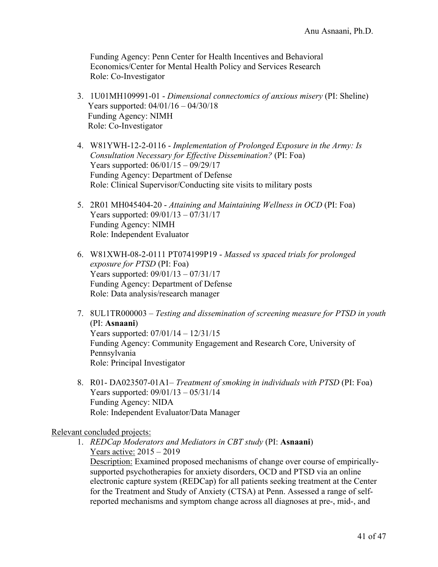Funding Agency: Penn Center for Health Incentives and Behavioral Economics/Center for Mental Health Policy and Services Research Role: Co-Investigator

- 3. 1U01MH109991-01 *Dimensional connectomics of anxious misery* (PI: Sheline) Years supported: 04/01/16 – 04/30/18 Funding Agency: NIMH Role: Co-Investigator
- 4. W81YWH-12-2-0116 *Implementation of Prolonged Exposure in the Army: Is Consultation Necessary for Effective Dissemination?* (PI: Foa) Years supported: 06/01/15 – 09/29/17 Funding Agency: Department of Defense Role: Clinical Supervisor/Conducting site visits to military posts
- 5. 2R01 MH045404-20 *Attaining and Maintaining Wellness in OCD* (PI: Foa) Years supported: 09/01/13 – 07/31/17 Funding Agency: NIMH Role: Independent Evaluator
- 6. W81XWH-08-2-0111 PT074199P19 *Massed vs spaced trials for prolonged exposure for PTSD* (PI: Foa) Years supported: 09/01/13 – 07/31/17 Funding Agency: Department of Defense Role: Data analysis/research manager
- 7. 8UL1TR000003 *Testing and dissemination of screening measure for PTSD in youth*  (PI: **Asnaani**) Years supported: 07/01/14 – 12/31/15 Funding Agency: Community Engagement and Research Core, University of Pennsylvania Role: Principal Investigator
- 8. R01- DA023507-01A1– *Treatment of smoking in individuals with PTSD* (PI: Foa) Years supported: 09/01/13 – 05/31/14 Funding Agency: NIDA Role: Independent Evaluator/Data Manager

### Relevant concluded projects:

1. *REDCap Moderators and Mediators in CBT study* (PI: **Asnaani**) Years active: 2015 – 2019 Description: Examined proposed mechanisms of change over course of empiricallysupported psychotherapies for anxiety disorders, OCD and PTSD via an online electronic capture system (REDCap) for all patients seeking treatment at the Center for the Treatment and Study of Anxiety (CTSA) at Penn. Assessed a range of selfreported mechanisms and symptom change across all diagnoses at pre-, mid-, and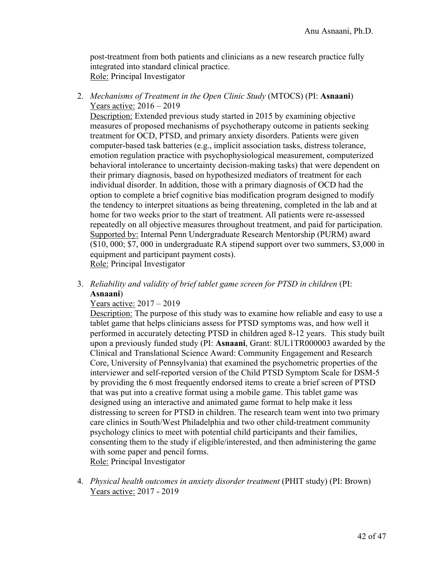post-treatment from both patients and clinicians as a new research practice fully integrated into standard clinical practice. Role: Principal Investigator

2. *Mechanisms of Treatment in the Open Clinic Study* (MTOCS) (PI: **Asnaani**) Years active: 2016 – 2019

Description: Extended previous study started in 2015 by examining objective measures of proposed mechanisms of psychotherapy outcome in patients seeking treatment for OCD, PTSD, and primary anxiety disorders. Patients were given computer-based task batteries (e.g., implicit association tasks, distress tolerance, emotion regulation practice with psychophysiological measurement, computerized behavioral intolerance to uncertainty decision-making tasks) that were dependent on their primary diagnosis, based on hypothesized mediators of treatment for each individual disorder. In addition, those with a primary diagnosis of OCD had the option to complete a brief cognitive bias modification program designed to modify the tendency to interpret situations as being threatening, completed in the lab and at home for two weeks prior to the start of treatment. All patients were re-assessed repeatedly on all objective measures throughout treatment, and paid for participation. Supported by: Internal Penn Undergraduate Research Mentorship (PURM) award (\$10, 000; \$7, 000 in undergraduate RA stipend support over two summers, \$3,000 in equipment and participant payment costs). Role: Principal Investigator

3. *Reliability and validity of brief tablet game screen for PTSD in children* (PI: **Asnaani**)

### Years active: 2017 – 2019

Description: The purpose of this study was to examine how reliable and easy to use a tablet game that helps clinicians assess for PTSD symptoms was, and how well it performed in accurately detecting PTSD in children aged 8-12 years. This study built upon a previously funded study (PI: **Asnaani**, Grant: 8UL1TR000003 awarded by the Clinical and Translational Science Award: Community Engagement and Research Core, University of Pennsylvania) that examined the psychometric properties of the interviewer and self-reported version of the Child PTSD Symptom Scale for DSM-5 by providing the 6 most frequently endorsed items to create a brief screen of PTSD that was put into a creative format using a mobile game. This tablet game was designed using an interactive and animated game format to help make it less distressing to screen for PTSD in children. The research team went into two primary care clinics in South/West Philadelphia and two other child-treatment community psychology clinics to meet with potential child participants and their families, consenting them to the study if eligible/interested, and then administering the game with some paper and pencil forms. Role: Principal Investigator

4. *Physical health outcomes in anxiety disorder treatment* (PHIT study) (PI: Brown) Years active: 2017 - 2019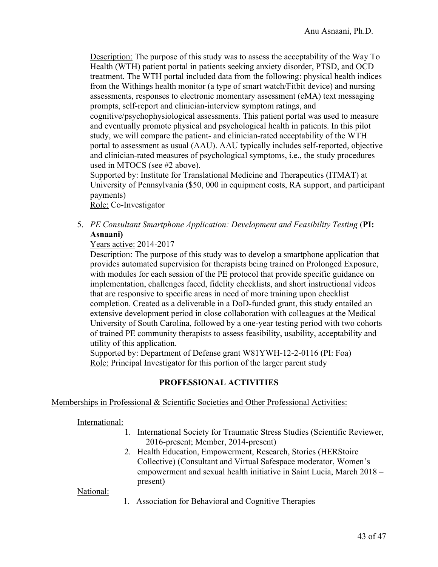Description: The purpose of this study was to assess the acceptability of the Way To Health (WTH) patient portal in patients seeking anxiety disorder, PTSD, and OCD treatment. The WTH portal included data from the following: physical health indices from the Withings health monitor (a type of smart watch/Fitbit device) and nursing assessments, responses to electronic momentary assessment (eMA) text messaging prompts, self-report and clinician-interview symptom ratings, and cognitive/psychophysiological assessments. This patient portal was used to measure and eventually promote physical and psychological health in patients. In this pilot study, we will compare the patient- and clinician-rated acceptability of the WTH portal to assessment as usual (AAU). AAU typically includes self-reported, objective and clinician-rated measures of psychological symptoms, i.e., the study procedures used in MTOCS (see #2 above).

Supported by: Institute for Translational Medicine and Therapeutics (ITMAT) at University of Pennsylvania (\$50, 000 in equipment costs, RA support, and participant payments)

Role: Co-Investigator

5. *PE Consultant Smartphone Application: Development and Feasibility Testing* (**PI: Asnaani)**

### Years active: 2014-2017

Description: The purpose of this study was to develop a smartphone application that provides automated supervision for therapists being trained on Prolonged Exposure, with modules for each session of the PE protocol that provide specific guidance on implementation, challenges faced, fidelity checklists, and short instructional videos that are responsive to specific areas in need of more training upon checklist completion. Created as a deliverable in a DoD-funded grant, this study entailed an extensive development period in close collaboration with colleagues at the Medical University of South Carolina, followed by a one-year testing period with two cohorts of trained PE community therapists to assess feasibility, usability, acceptability and utility of this application.

Supported by: Department of Defense grant W81YWH-12-2-0116 (PI: Foa) Role: Principal Investigator for this portion of the larger parent study

### **PROFESSIONAL ACTIVITIES**

#### Memberships in Professional & Scientific Societies and Other Professional Activities:

International:

- 1. International Society for Traumatic Stress Studies (Scientific Reviewer, 2016-present; Member, 2014-present)
- 2. Health Education, Empowerment, Research, Stories (HERStoire Collective) (Consultant and Virtual Safespace moderator, Women's empowerment and sexual health initiative in Saint Lucia, March 2018 – present)

National:

1. Association for Behavioral and Cognitive Therapies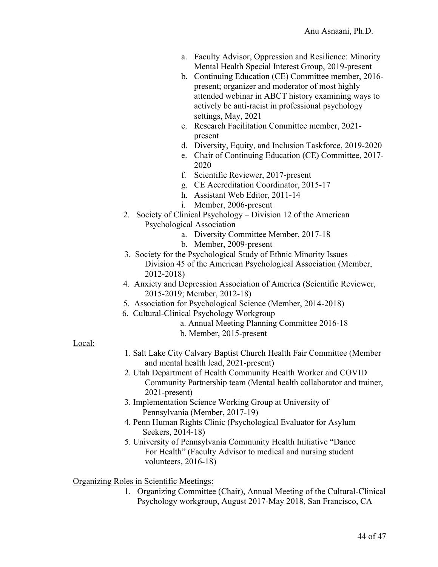- a. Faculty Advisor, Oppression and Resilience: Minority Mental Health Special Interest Group, 2019-present
- b. Continuing Education (CE) Committee member, 2016 present; organizer and moderator of most highly attended webinar in ABCT history examining ways to actively be anti-racist in professional psychology settings, May, 2021
- c. Research Facilitation Committee member, 2021 present
- d. Diversity, Equity, and Inclusion Taskforce, 2019-2020
- e. Chair of Continuing Education (CE) Committee, 2017- 2020
- f. Scientific Reviewer, 2017-present
- g. CE Accreditation Coordinator, 2015-17
- h. Assistant Web Editor, 2011-14
- i. Member, 2006-present
- 2. Society of Clinical Psychology Division 12 of the American Psychological Association
	- a. Diversity Committee Member, 2017-18
		- b. Member, 2009-present
- 3. Society for the Psychological Study of Ethnic Minority Issues Division 45 of the American Psychological Association (Member, 2012-2018)
- 4. Anxiety and Depression Association of America (Scientific Reviewer, 2015-2019; Member, 2012-18)
- 5. Association for Psychological Science (Member, 2014-2018)
- 6. Cultural-Clinical Psychology Workgroup
	- a. Annual Meeting Planning Committee 2016-18
	- b. Member, 2015-present

### Local:

- 1. Salt Lake City Calvary Baptist Church Health Fair Committee (Member and mental health lead, 2021-present)
- 2. Utah Department of Health Community Health Worker and COVID Community Partnership team (Mental health collaborator and trainer, 2021-present)
- 3. Implementation Science Working Group at University of Pennsylvania (Member, 2017-19)
- 4. Penn Human Rights Clinic (Psychological Evaluator for Asylum Seekers, 2014-18)
- 5. University of Pennsylvania Community Health Initiative "Dance For Health" (Faculty Advisor to medical and nursing student volunteers, 2016-18)

Organizing Roles in Scientific Meetings:

1. Organizing Committee (Chair), Annual Meeting of the Cultural-Clinical Psychology workgroup, August 2017-May 2018, San Francisco, CA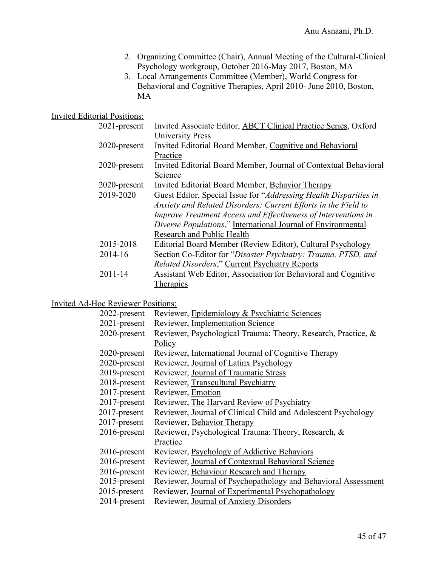- 2. Organizing Committee (Chair), Annual Meeting of the Cultural-Clinical Psychology workgroup, October 2016-May 2017, Boston, MA
- 3. Local Arrangements Committee (Member), World Congress for Behavioral and Cognitive Therapies, April 2010- June 2010, Boston, MA

# Invited Editorial Positions:

| $2021$ -present | Invited Associate Editor, ABCT Clinical Practice Series, Oxford   |
|-----------------|-------------------------------------------------------------------|
|                 | University Press                                                  |
| 2020-present    | Invited Editorial Board Member, Cognitive and Behavioral          |
|                 | Practice                                                          |
| 2020-present    | Invited Editorial Board Member, Journal of Contextual Behavioral  |
|                 | Science                                                           |
| 2020-present    | Invited Editorial Board Member, Behavior Therapy                  |
| 2019-2020       | Guest Editor, Special Issue for "Addressing Health Disparities in |
|                 | Anxiety and Related Disorders: Current Efforts in the Field to    |
|                 | Improve Treatment Access and Effectiveness of Interventions in    |
|                 | Diverse Populations," International Journal of Environmental      |
|                 | Research and Public Health                                        |
| 2015-2018       | Editorial Board Member (Review Editor), Cultural Psychology       |
| 2014-16         | Section Co-Editor for "Disaster Psychiatry: Trauma, PTSD, and     |
|                 | <b>Related Disorders," Current Psychiatry Reports</b>             |
| $2011 - 14$     | Assistant Web Editor, Association for Behavioral and Cognitive    |
|                 | Therapies                                                         |

### Invited Ad-Hoc Reviewer Positions:

| 2022-present    | Reviewer, Epidemiology & Psychiatric Sciences                  |
|-----------------|----------------------------------------------------------------|
| 2021-present    | Reviewer, Implementation Science                               |
| 2020-present    | Reviewer, Psychological Trauma: Theory, Research, Practice, &  |
|                 | Policy                                                         |
| $2020$ -present | Reviewer, International Journal of Cognitive Therapy           |
| 2020-present    | Reviewer, Journal of Latinx Psychology                         |
| 2019-present    | Reviewer, Journal of Traumatic Stress                          |
| 2018-present    | Reviewer, Transcultural Psychiatry                             |
| $2017$ -present | Reviewer, Emotion                                              |
| 2017-present    | Reviewer, The Harvard Review of Psychiatry                     |
| $2017$ -present | Reviewer, Journal of Clinical Child and Adolescent Psychology  |
| $2017$ -present | Reviewer, Behavior Therapy                                     |
| $2016$ -present | Reviewer, Psychological Trauma: Theory, Research, &            |
|                 | Practice                                                       |
| $2016$ -present | Reviewer, Psychology of Addictive Behaviors                    |
| $2016$ -present | Reviewer, Journal of Contextual Behavioral Science             |
| 2016-present    | Reviewer, Behaviour Research and Therapy                       |
| $2015$ -present | Reviewer, Journal of Psychopathology and Behavioral Assessment |
| $2015$ -present | Reviewer, Journal of Experimental Psychopathology              |
| $2014$ -present | Reviewer, Journal of Anxiety Disorders                         |
|                 |                                                                |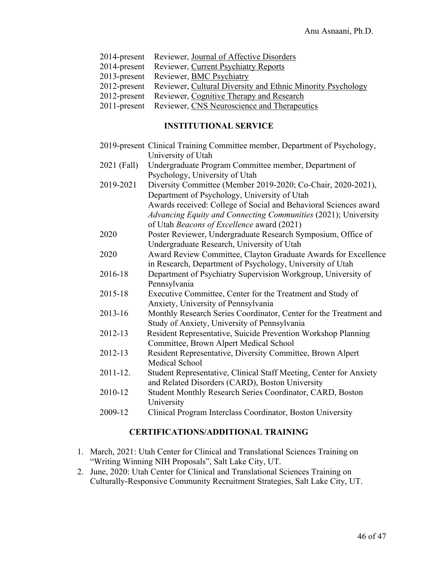- 2014-present Reviewer, Journal of Affective Disorders
- 2014-present Reviewer, Current Psychiatry Reports
- 2013-present Reviewer, BMC Psychiatry
- 2012-present Reviewer, Cultural Diversity and Ethnic Minority Psychology
- 2012-present Reviewer, Cognitive Therapy and Research
- 2011-present Reviewer, CNS Neuroscience and Therapeutics

### **INSTITUTIONAL SERVICE**

- 2019-present Clinical Training Committee member, Department of Psychology, University of Utah
- 2021 (Fall) Undergraduate Program Committee member, Department of Psychology, University of Utah
- 2019-2021 Diversity Committee (Member 2019-2020; Co-Chair, 2020-2021), Department of Psychology, University of Utah Awards received: College of Social and Behavioral Sciences award *Advancing Equity and Connecting Communities* (2021); University of Utah *Beacons of Excellence* award (2021)
- 2020 Poster Reviewer, Undergraduate Research Symposium, Office of Undergraduate Research, University of Utah
- 2020 Award Review Committee, Clayton Graduate Awards for Excellence in Research, Department of Psychology, University of Utah
- 2016-18 Department of Psychiatry Supervision Workgroup, University of Pennsylvania
- 2015-18 Executive Committee, Center for the Treatment and Study of Anxiety, University of Pennsylvania
- 2013-16 Monthly Research Series Coordinator, Center for the Treatment and Study of Anxiety, University of Pennsylvania
- 2012-13 Resident Representative, Suicide Prevention Workshop Planning Committee, Brown Alpert Medical School
- 2012-13 Resident Representative, Diversity Committee, Brown Alpert Medical School
- 2011-12. Student Representative, Clinical Staff Meeting, Center for Anxiety and Related Disorders (CARD), Boston University
- 2010-12 Student Monthly Research Series Coordinator, CARD, Boston University
- 2009-12 Clinical Program Interclass Coordinator, Boston University

### **CERTIFICATIONS/ADDITIONAL TRAINING**

- 1. March, 2021: Utah Center for Clinical and Translational Sciences Training on "Writing Winning NIH Proposals", Salt Lake City, UT.
- 2. June, 2020: Utah Center for Clinical and Translational Sciences Training on Culturally-Responsive Community Recruitment Strategies, Salt Lake City, UT.